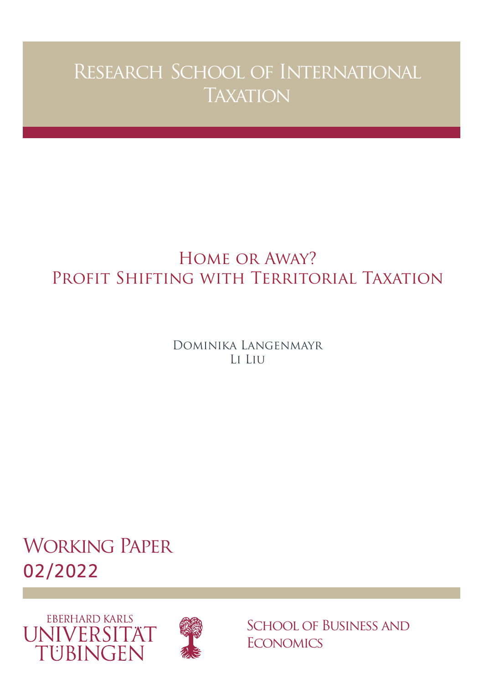# Research School of International **TAXATION**

## Home or Away? Profit Shifting with Territorial Taxation

Dominika Langenmayr Li Liu

Working Paper 02/2022





School of Business and **ECONOMICS**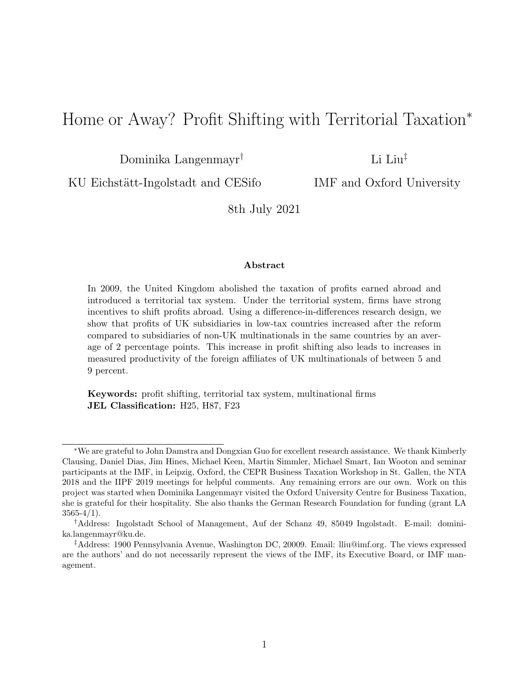## Home or Away? Profit Shifting with Territorial Taxation<sup>∗</sup>

Dominika Langenmayr†

Li Liu‡

KU Eichstätt-Ingolstadt and CESifo

IMF and Oxford University

8th July 2021

#### Abstract

In 2009, the United Kingdom abolished the taxation of profits earned abroad and introduced a territorial tax system. Under the territorial system, firms have strong incentives to shift profits abroad. Using a difference-in-differences research design, we show that profits of UK subsidiaries in low-tax countries increased after the reform compared to subsidiaries of non-UK multinationals in the same countries by an average of 2 percentage points. This increase in profit shifting also leads to increases in measured productivity of the foreign affiliates of UK multinationals of between 5 and 9 percent.

Keywords: profit shifting, territorial tax system, multinational firms JEL Classification: H25, H87, F23

<sup>∗</sup>We are grateful to John Damstra and Dongxian Guo for excellent research assistance. We thank Kimberly Clausing, Daniel Dias, Jim Hines, Michael Keen, Martin Simmler, Michael Smart, Ian Wooton and seminar participants at the IMF, in Leipzig, Oxford, the CEPR Business Taxation Workshop in St. Gallen, the NTA 2018 and the IIPF 2019 meetings for helpful comments. Any remaining errors are our own. Work on this project was started when Dominika Langenmayr visited the Oxford University Centre for Business Taxation, she is grateful for their hospitality. She also thanks the German Research Foundation for funding (grant LA  $3565-4/1$ .

<sup>†</sup>Address: Ingolstadt School of Management, Auf der Schanz 49, 85049 Ingolstadt. E-mail: dominika.langenmayr@ku.de.

<sup>‡</sup>Address: 1900 Pennsylvania Avenue, Washington DC, 20009. Email: lliu@imf.org. The views expressed are the authors' and do not necessarily represent the views of the IMF, its Executive Board, or IMF management.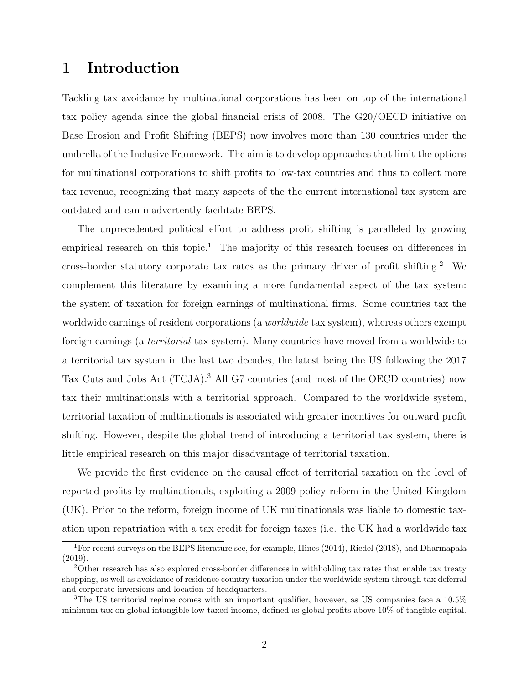## 1 Introduction

Tackling tax avoidance by multinational corporations has been on top of the international tax policy agenda since the global financial crisis of 2008. The G20/OECD initiative on Base Erosion and Profit Shifting (BEPS) now involves more than 130 countries under the umbrella of the Inclusive Framework. The aim is to develop approaches that limit the options for multinational corporations to shift profits to low-tax countries and thus to collect more tax revenue, recognizing that many aspects of the the current international tax system are outdated and can inadvertently facilitate BEPS.

The unprecedented political effort to address profit shifting is paralleled by growing empirical research on this topic.<sup>1</sup> The majority of this research focuses on differences in cross-border statutory corporate tax rates as the primary driver of profit shifting.<sup>2</sup> We complement this literature by examining a more fundamental aspect of the tax system: the system of taxation for foreign earnings of multinational firms. Some countries tax the worldwide earnings of resident corporations (a *worldwide* tax system), whereas others exempt foreign earnings (a territorial tax system). Many countries have moved from a worldwide to a territorial tax system in the last two decades, the latest being the US following the 2017 Tax Cuts and Jobs Act (TCJA).<sup>3</sup> All G7 countries (and most of the OECD countries) now tax their multinationals with a territorial approach. Compared to the worldwide system, territorial taxation of multinationals is associated with greater incentives for outward profit shifting. However, despite the global trend of introducing a territorial tax system, there is little empirical research on this major disadvantage of territorial taxation.

We provide the first evidence on the causal effect of territorial taxation on the level of reported profits by multinationals, exploiting a 2009 policy reform in the United Kingdom (UK). Prior to the reform, foreign income of UK multinationals was liable to domestic taxation upon repatriation with a tax credit for foreign taxes (i.e. the UK had a worldwide tax

<sup>1</sup>For recent surveys on the BEPS literature see, for example, Hines (2014), Riedel (2018), and Dharmapala (2019).

<sup>&</sup>lt;sup>2</sup>Other research has also explored cross-border differences in withholding tax rates that enable tax treaty shopping, as well as avoidance of residence country taxation under the worldwide system through tax deferral and corporate inversions and location of headquarters.

<sup>&</sup>lt;sup>3</sup>The US territorial regime comes with an important qualifier, however, as US companies face a  $10.5\%$ minimum tax on global intangible low-taxed income, defined as global profits above 10% of tangible capital.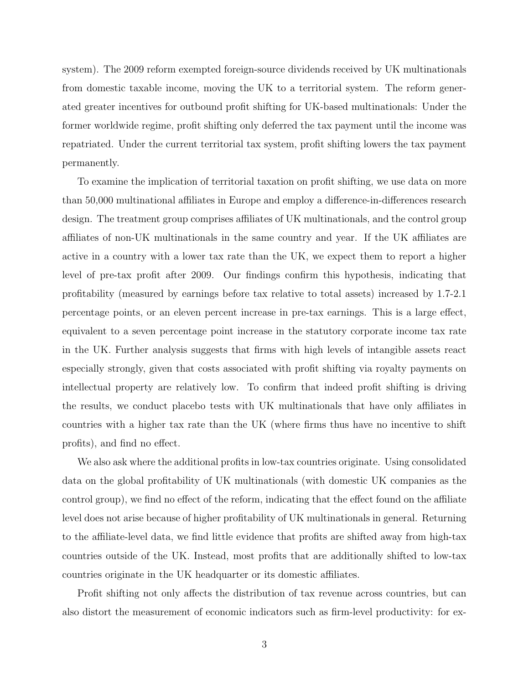system). The 2009 reform exempted foreign-source dividends received by UK multinationals from domestic taxable income, moving the UK to a territorial system. The reform generated greater incentives for outbound profit shifting for UK-based multinationals: Under the former worldwide regime, profit shifting only deferred the tax payment until the income was repatriated. Under the current territorial tax system, profit shifting lowers the tax payment permanently.

To examine the implication of territorial taxation on profit shifting, we use data on more than 50,000 multinational affiliates in Europe and employ a difference-in-differences research design. The treatment group comprises affiliates of UK multinationals, and the control group affiliates of non-UK multinationals in the same country and year. If the UK affiliates are active in a country with a lower tax rate than the UK, we expect them to report a higher level of pre-tax profit after 2009. Our findings confirm this hypothesis, indicating that profitability (measured by earnings before tax relative to total assets) increased by 1.7-2.1 percentage points, or an eleven percent increase in pre-tax earnings. This is a large effect, equivalent to a seven percentage point increase in the statutory corporate income tax rate in the UK. Further analysis suggests that firms with high levels of intangible assets react especially strongly, given that costs associated with profit shifting via royalty payments on intellectual property are relatively low. To confirm that indeed profit shifting is driving the results, we conduct placebo tests with UK multinationals that have only affiliates in countries with a higher tax rate than the UK (where firms thus have no incentive to shift profits), and find no effect.

We also ask where the additional profits in low-tax countries originate. Using consolidated data on the global profitability of UK multinationals (with domestic UK companies as the control group), we find no effect of the reform, indicating that the effect found on the affiliate level does not arise because of higher profitability of UK multinationals in general. Returning to the affiliate-level data, we find little evidence that profits are shifted away from high-tax countries outside of the UK. Instead, most profits that are additionally shifted to low-tax countries originate in the UK headquarter or its domestic affiliates.

Profit shifting not only affects the distribution of tax revenue across countries, but can also distort the measurement of economic indicators such as firm-level productivity: for ex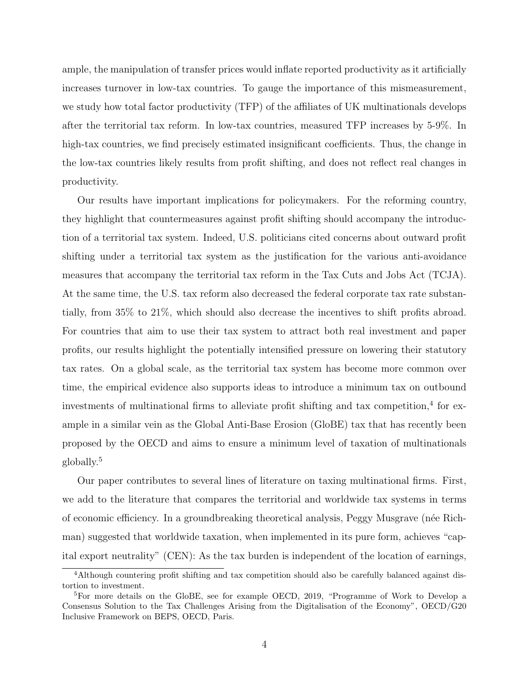ample, the manipulation of transfer prices would inflate reported productivity as it artificially increases turnover in low-tax countries. To gauge the importance of this mismeasurement, we study how total factor productivity (TFP) of the affiliates of UK multinationals develops after the territorial tax reform. In low-tax countries, measured TFP increases by 5-9%. In high-tax countries, we find precisely estimated insignificant coefficients. Thus, the change in the low-tax countries likely results from profit shifting, and does not reflect real changes in productivity.

Our results have important implications for policymakers. For the reforming country, they highlight that countermeasures against profit shifting should accompany the introduction of a territorial tax system. Indeed, U.S. politicians cited concerns about outward profit shifting under a territorial tax system as the justification for the various anti-avoidance measures that accompany the territorial tax reform in the Tax Cuts and Jobs Act (TCJA). At the same time, the U.S. tax reform also decreased the federal corporate tax rate substantially, from 35% to 21%, which should also decrease the incentives to shift profits abroad. For countries that aim to use their tax system to attract both real investment and paper profits, our results highlight the potentially intensified pressure on lowering their statutory tax rates. On a global scale, as the territorial tax system has become more common over time, the empirical evidence also supports ideas to introduce a minimum tax on outbound investments of multinational firms to alleviate profit shifting and tax competition, $4$  for example in a similar vein as the Global Anti-Base Erosion (GloBE) tax that has recently been proposed by the OECD and aims to ensure a minimum level of taxation of multinationals globally.<sup>5</sup>

Our paper contributes to several lines of literature on taxing multinational firms. First, we add to the literature that compares the territorial and worldwide tax systems in terms of economic efficiency. In a groundbreaking theoretical analysis, Peggy Musgrave (n´ee Richman) suggested that worldwide taxation, when implemented in its pure form, achieves "capital export neutrality" (CEN): As the tax burden is independent of the location of earnings,

<sup>4</sup>Although countering profit shifting and tax competition should also be carefully balanced against distortion to investment.

<sup>5</sup>For more details on the GloBE, see for example OECD, 2019, "Programme of Work to Develop a Consensus Solution to the Tax Challenges Arising from the Digitalisation of the Economy", OECD/G20 Inclusive Framework on BEPS, OECD, Paris.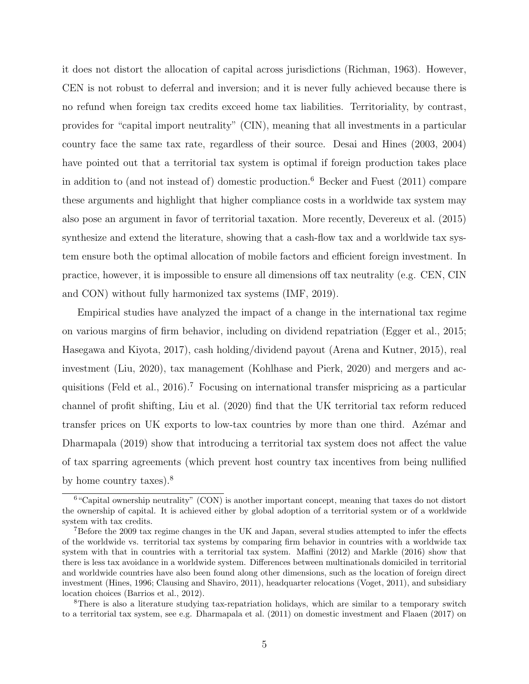it does not distort the allocation of capital across jurisdictions (Richman, 1963). However, CEN is not robust to deferral and inversion; and it is never fully achieved because there is no refund when foreign tax credits exceed home tax liabilities. Territoriality, by contrast, provides for "capital import neutrality" (CIN), meaning that all investments in a particular country face the same tax rate, regardless of their source. Desai and Hines (2003, 2004) have pointed out that a territorial tax system is optimal if foreign production takes place in addition to (and not instead of) domestic production.<sup>6</sup> Becker and Fuest (2011) compare these arguments and highlight that higher compliance costs in a worldwide tax system may also pose an argument in favor of territorial taxation. More recently, Devereux et al. (2015) synthesize and extend the literature, showing that a cash-flow tax and a worldwide tax system ensure both the optimal allocation of mobile factors and efficient foreign investment. In practice, however, it is impossible to ensure all dimensions off tax neutrality (e.g. CEN, CIN and CON) without fully harmonized tax systems (IMF, 2019).

Empirical studies have analyzed the impact of a change in the international tax regime on various margins of firm behavior, including on dividend repatriation (Egger et al., 2015; Hasegawa and Kiyota, 2017), cash holding/dividend payout (Arena and Kutner, 2015), real investment (Liu, 2020), tax management (Kohlhase and Pierk, 2020) and mergers and acquisitions (Feld et al., 2016).<sup>7</sup> Focusing on international transfer mispricing as a particular channel of profit shifting, Liu et al. (2020) find that the UK territorial tax reform reduced transfer prices on UK exports to low-tax countries by more than one third. Azemar and Dharmapala (2019) show that introducing a territorial tax system does not affect the value of tax sparring agreements (which prevent host country tax incentives from being nullified by home country taxes).<sup>8</sup>

<sup>6</sup>"Capital ownership neutrality" (CON) is another important concept, meaning that taxes do not distort the ownership of capital. It is achieved either by global adoption of a territorial system or of a worldwide system with tax credits.

<sup>7</sup>Before the 2009 tax regime changes in the UK and Japan, several studies attempted to infer the effects of the worldwide vs. territorial tax systems by comparing firm behavior in countries with a worldwide tax system with that in countries with a territorial tax system. Maffini (2012) and Markle (2016) show that there is less tax avoidance in a worldwide system. Differences between multinationals domiciled in territorial and worldwide countries have also been found along other dimensions, such as the location of foreign direct investment (Hines, 1996; Clausing and Shaviro, 2011), headquarter relocations (Voget, 2011), and subsidiary location choices (Barrios et al., 2012).

<sup>8</sup>There is also a literature studying tax-repatriation holidays, which are similar to a temporary switch to a territorial tax system, see e.g. Dharmapala et al. (2011) on domestic investment and Flaaen (2017) on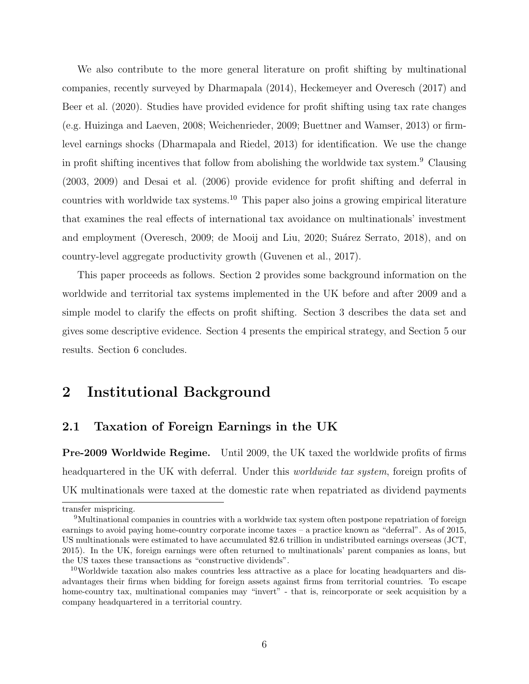We also contribute to the more general literature on profit shifting by multinational companies, recently surveyed by Dharmapala (2014), Heckemeyer and Overesch (2017) and Beer et al. (2020). Studies have provided evidence for profit shifting using tax rate changes (e.g. Huizinga and Laeven, 2008; Weichenrieder, 2009; Buettner and Wamser, 2013) or firmlevel earnings shocks (Dharmapala and Riedel, 2013) for identification. We use the change in profit shifting incentives that follow from abolishing the worldwide tax system.<sup>9</sup> Clausing (2003, 2009) and Desai et al. (2006) provide evidence for profit shifting and deferral in countries with worldwide tax systems.<sup>10</sup> This paper also joins a growing empirical literature that examines the real effects of international tax avoidance on multinationals' investment and employment (Overesch, 2009; de Mooij and Liu, 2020; Suárez Serrato, 2018), and on country-level aggregate productivity growth (Guvenen et al., 2017).

This paper proceeds as follows. Section 2 provides some background information on the worldwide and territorial tax systems implemented in the UK before and after 2009 and a simple model to clarify the effects on profit shifting. Section 3 describes the data set and gives some descriptive evidence. Section 4 presents the empirical strategy, and Section 5 our results. Section 6 concludes.

## 2 Institutional Background

### 2.1 Taxation of Foreign Earnings in the UK

Pre-2009 Worldwide Regime. Until 2009, the UK taxed the worldwide profits of firms headquartered in the UK with deferral. Under this worldwide tax system, foreign profits of UK multinationals were taxed at the domestic rate when repatriated as dividend payments

transfer mispricing.

<sup>9</sup>Multinational companies in countries with a worldwide tax system often postpone repatriation of foreign earnings to avoid paying home-country corporate income taxes – a practice known as "deferral". As of 2015, US multinationals were estimated to have accumulated \$2.6 trillion in undistributed earnings overseas (JCT, 2015). In the UK, foreign earnings were often returned to multinationals' parent companies as loans, but the US taxes these transactions as "constructive dividends".

 $10$ Worldwide taxation also makes countries less attractive as a place for locating headquarters and disadvantages their firms when bidding for foreign assets against firms from territorial countries. To escape home-country tax, multinational companies may "invert" - that is, reincorporate or seek acquisition by a company headquartered in a territorial country.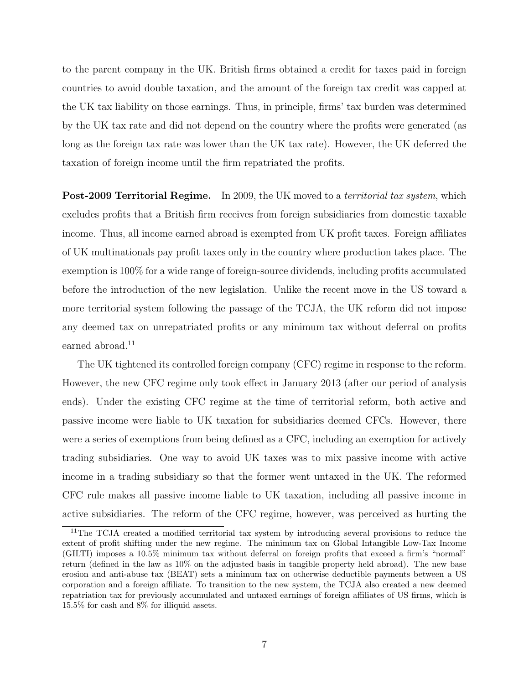to the parent company in the UK. British firms obtained a credit for taxes paid in foreign countries to avoid double taxation, and the amount of the foreign tax credit was capped at the UK tax liability on those earnings. Thus, in principle, firms' tax burden was determined by the UK tax rate and did not depend on the country where the profits were generated (as long as the foreign tax rate was lower than the UK tax rate). However, the UK deferred the taxation of foreign income until the firm repatriated the profits.

**Post-2009 Territorial Regime.** In 2009, the UK moved to a *territorial tax system*, which excludes profits that a British firm receives from foreign subsidiaries from domestic taxable income. Thus, all income earned abroad is exempted from UK profit taxes. Foreign affiliates of UK multinationals pay profit taxes only in the country where production takes place. The exemption is 100% for a wide range of foreign-source dividends, including profits accumulated before the introduction of the new legislation. Unlike the recent move in the US toward a more territorial system following the passage of the TCJA, the UK reform did not impose any deemed tax on unrepatriated profits or any minimum tax without deferral on profits earned abroad.<sup>11</sup>

The UK tightened its controlled foreign company (CFC) regime in response to the reform. However, the new CFC regime only took effect in January 2013 (after our period of analysis ends). Under the existing CFC regime at the time of territorial reform, both active and passive income were liable to UK taxation for subsidiaries deemed CFCs. However, there were a series of exemptions from being defined as a CFC, including an exemption for actively trading subsidiaries. One way to avoid UK taxes was to mix passive income with active income in a trading subsidiary so that the former went untaxed in the UK. The reformed CFC rule makes all passive income liable to UK taxation, including all passive income in active subsidiaries. The reform of the CFC regime, however, was perceived as hurting the

<sup>&</sup>lt;sup>11</sup>The TCJA created a modified territorial tax system by introducing several provisions to reduce the extent of profit shifting under the new regime. The minimum tax on Global Intangible Low-Tax Income (GILTI) imposes a 10.5% minimum tax without deferral on foreign profits that exceed a firm's "normal" return (defined in the law as 10% on the adjusted basis in tangible property held abroad). The new base erosion and anti-abuse tax (BEAT) sets a minimum tax on otherwise deductible payments between a US corporation and a foreign affiliate. To transition to the new system, the TCJA also created a new deemed repatriation tax for previously accumulated and untaxed earnings of foreign affiliates of US firms, which is 15.5% for cash and 8% for illiquid assets.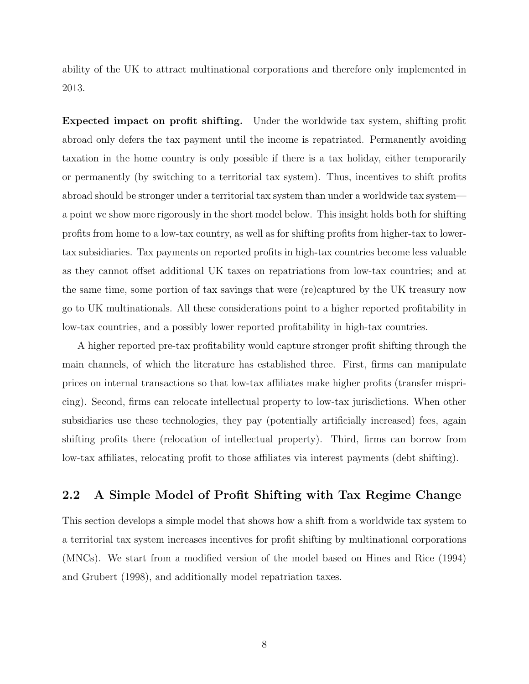ability of the UK to attract multinational corporations and therefore only implemented in 2013.

Expected impact on profit shifting. Under the worldwide tax system, shifting profit abroad only defers the tax payment until the income is repatriated. Permanently avoiding taxation in the home country is only possible if there is a tax holiday, either temporarily or permanently (by switching to a territorial tax system). Thus, incentives to shift profits abroad should be stronger under a territorial tax system than under a worldwide tax system a point we show more rigorously in the short model below. This insight holds both for shifting profits from home to a low-tax country, as well as for shifting profits from higher-tax to lowertax subsidiaries. Tax payments on reported profits in high-tax countries become less valuable as they cannot offset additional UK taxes on repatriations from low-tax countries; and at the same time, some portion of tax savings that were (re)captured by the UK treasury now go to UK multinationals. All these considerations point to a higher reported profitability in low-tax countries, and a possibly lower reported profitability in high-tax countries.

A higher reported pre-tax profitability would capture stronger profit shifting through the main channels, of which the literature has established three. First, firms can manipulate prices on internal transactions so that low-tax affiliates make higher profits (transfer mispricing). Second, firms can relocate intellectual property to low-tax jurisdictions. When other subsidiaries use these technologies, they pay (potentially artificially increased) fees, again shifting profits there (relocation of intellectual property). Third, firms can borrow from low-tax affiliates, relocating profit to those affiliates via interest payments (debt shifting).

### 2.2 A Simple Model of Profit Shifting with Tax Regime Change

This section develops a simple model that shows how a shift from a worldwide tax system to a territorial tax system increases incentives for profit shifting by multinational corporations (MNCs). We start from a modified version of the model based on Hines and Rice (1994) and Grubert (1998), and additionally model repatriation taxes.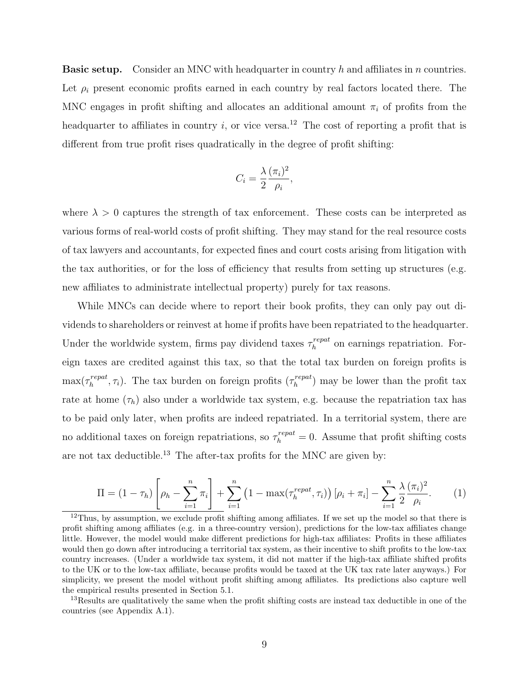**Basic setup.** Consider an MNC with headquarter in country h and affiliates in n countries. Let  $\rho_i$  present economic profits earned in each country by real factors located there. The MNC engages in profit shifting and allocates an additional amount  $\pi_i$  of profits from the headquarter to affiliates in country i, or vice versa.<sup>12</sup> The cost of reporting a profit that is different from true profit rises quadratically in the degree of profit shifting:

$$
C_i = \frac{\lambda}{2} \frac{(\pi_i)^2}{\rho_i},
$$

where  $\lambda > 0$  captures the strength of tax enforcement. These costs can be interpreted as various forms of real-world costs of profit shifting. They may stand for the real resource costs of tax lawyers and accountants, for expected fines and court costs arising from litigation with the tax authorities, or for the loss of efficiency that results from setting up structures (e.g. new affiliates to administrate intellectual property) purely for tax reasons.

While MNCs can decide where to report their book profits, they can only pay out dividends to shareholders or reinvest at home if profits have been repatriated to the headquarter. Under the worldwide system, firms pay dividend taxes  $\tau_h^{repat}$  $h^{repeat}$  on earnings repatriation. Foreign taxes are credited against this tax, so that the total tax burden on foreign profits is  $\max(\tau_h^{repat})$  $\mathcal{L}_h^{repeat}, \tau_i$ ). The tax burden on foreign profits  $(\tau_h^{repeat})$  $\binom{repeat}{h}$  may be lower than the profit tax rate at home  $(\tau_h)$  also under a worldwide tax system, e.g. because the repatriation tax has to be paid only later, when profits are indeed repatriated. In a territorial system, there are no additional taxes on foreign repatriations, so  $\tau_h^{repat} = 0$ . Assume that profit shifting costs are not tax deductible.<sup>13</sup> The after-tax profits for the MNC are given by:

$$
\Pi = (1 - \tau_h) \left[ \rho_h - \sum_{i=1}^n \pi_i \right] + \sum_{i=1}^n \left( 1 - \max(\tau_h^{repeat}, \tau_i) \right) [\rho_i + \pi_i] - \sum_{i=1}^n \frac{\lambda(\pi_i)^2}{2 \rho_i}.
$$
 (1)

 $12$ Thus, by assumption, we exclude profit shifting among affiliates. If we set up the model so that there is profit shifting among affiliates (e.g. in a three-country version), predictions for the low-tax affiliates change little. However, the model would make different predictions for high-tax affiliates: Profits in these affiliates would then go down after introducing a territorial tax system, as their incentive to shift profits to the low-tax country increases. (Under a worldwide tax system, it did not matter if the high-tax affiliate shifted profits to the UK or to the low-tax affiliate, because profits would be taxed at the UK tax rate later anyways.) For simplicity, we present the model without profit shifting among affiliates. Its predictions also capture well the empirical results presented in Section 5.1.

<sup>&</sup>lt;sup>13</sup>Results are qualitatively the same when the profit shifting costs are instead tax deductible in one of the countries (see Appendix A.1).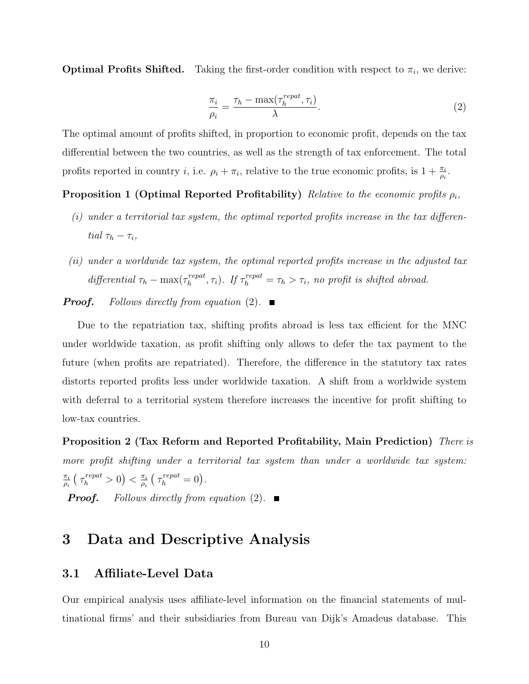**Optimal Profits Shifted.** Taking the first-order condition with respect to  $\pi_i$ , we derive:

$$
\frac{\pi_i}{\rho_i} = \frac{\tau_h - \max(\tau_h^{repat}, \tau_i)}{\lambda}.
$$
\n(2)

The optimal amount of profits shifted, in proportion to economic profit, depends on the tax differential between the two countries, as well as the strength of tax enforcement. The total profits reported in country *i*, i.e.  $\rho_i + \pi_i$ , relative to the true economic profits, is  $1 + \frac{\pi_i}{\rho_i}$ .

**Proposition 1 (Optimal Reported Profitability)** Relative to the economic profits  $\rho_i$ ,

- $(i)$  under a territorial tax system, the optimal reported profits increase in the tax differential  $\tau_h - \tau_i$ ,
- (ii) under a worldwide tax system, the optimal reported profits increase in the adjusted tax differential  $\tau_h - \max(\tau_h^{repat})$  $h_h^{repeat}, \tau_i$ ). If  $\tau_h^{repeat} = \tau_h > \tau_i$ , no profit is shifted abroad.

**Proof.** Follows directly from equation (2).

Due to the repatriation tax, shifting profits abroad is less tax efficient for the MNC under worldwide taxation, as profit shifting only allows to defer the tax payment to the future (when profits are repatriated). Therefore, the difference in the statutory tax rates distorts reported profits less under worldwide taxation. A shift from a worldwide system with deferral to a territorial system therefore increases the incentive for profit shifting to low-tax countries.

Proposition 2 (Tax Reform and Reported Profitability, Main Prediction) There is more profit shifting under a territorial tax system than under a worldwide tax system:  $\pi_i$  $\frac{\pi_i}{\rho_i} \left( \tau_h^{repat} > 0 \right) < \frac{\pi_i}{\rho_i}$  $\frac{\pi_i}{\rho_i} \left( \tau_h^{repeat} = 0 \right).$ 

**Proof.** Follows directly from equation (2).

## 3 Data and Descriptive Analysis

#### 3.1 Affiliate-Level Data

Our empirical analysis uses affiliate-level information on the financial statements of multinational firms' and their subsidiaries from Bureau van Dijk's Amadeus database. This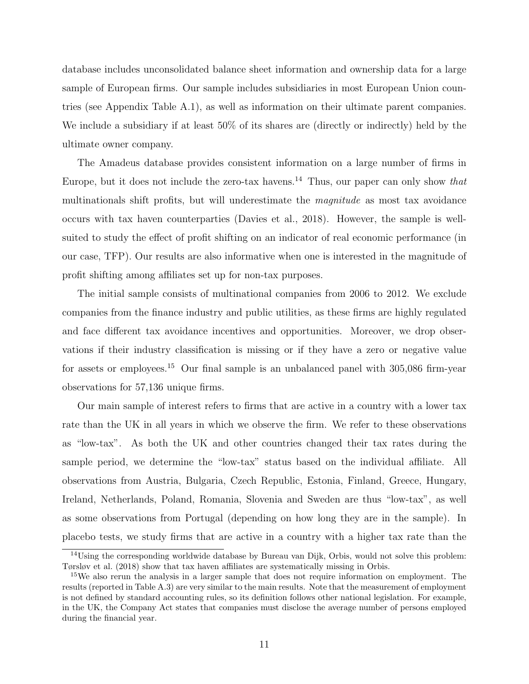database includes unconsolidated balance sheet information and ownership data for a large sample of European firms. Our sample includes subsidiaries in most European Union countries (see Appendix Table A.1), as well as information on their ultimate parent companies. We include a subsidiary if at least 50% of its shares are (directly or indirectly) held by the ultimate owner company.

The Amadeus database provides consistent information on a large number of firms in Europe, but it does not include the zero-tax havens.<sup>14</sup> Thus, our paper can only show that multinationals shift profits, but will underestimate the magnitude as most tax avoidance occurs with tax haven counterparties (Davies et al., 2018). However, the sample is wellsuited to study the effect of profit shifting on an indicator of real economic performance (in our case, TFP). Our results are also informative when one is interested in the magnitude of profit shifting among affiliates set up for non-tax purposes.

The initial sample consists of multinational companies from 2006 to 2012. We exclude companies from the finance industry and public utilities, as these firms are highly regulated and face different tax avoidance incentives and opportunities. Moreover, we drop observations if their industry classification is missing or if they have a zero or negative value for assets or employees.<sup>15</sup> Our final sample is an unbalanced panel with 305,086 firm-year observations for 57,136 unique firms.

Our main sample of interest refers to firms that are active in a country with a lower tax rate than the UK in all years in which we observe the firm. We refer to these observations as "low-tax". As both the UK and other countries changed their tax rates during the sample period, we determine the "low-tax" status based on the individual affiliate. All observations from Austria, Bulgaria, Czech Republic, Estonia, Finland, Greece, Hungary, Ireland, Netherlands, Poland, Romania, Slovenia and Sweden are thus "low-tax", as well as some observations from Portugal (depending on how long they are in the sample). In placebo tests, we study firms that are active in a country with a higher tax rate than the

 $14$ Using the corresponding worldwide database by Bureau van Dijk, Orbis, would not solve this problem: Tørsløv et al. (2018) show that tax haven affiliates are systematically missing in Orbis.

<sup>&</sup>lt;sup>15</sup>We also rerun the analysis in a larger sample that does not require information on employment. The results (reported in Table A.3) are very similar to the main results. Note that the measurement of employment is not defined by standard accounting rules, so its definition follows other national legislation. For example, in the UK, the Company Act states that companies must disclose the average number of persons employed during the financial year.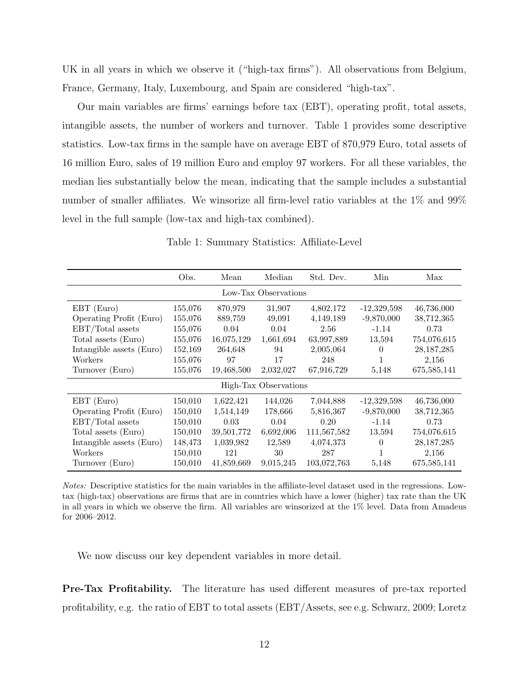UK in all years in which we observe it ("high-tax firms"). All observations from Belgium, France, Germany, Italy, Luxembourg, and Spain are considered "high-tax".

Our main variables are firms' earnings before tax (EBT), operating profit, total assets, intangible assets, the number of workers and turnover. Table 1 provides some descriptive statistics. Low-tax firms in the sample have on average EBT of 870,979 Euro, total assets of 16 million Euro, sales of 19 million Euro and employ 97 workers. For all these variables, the median lies substantially below the mean, indicating that the sample includes a substantial number of smaller affiliates. We winsorize all firm-level ratio variables at the 1% and 99% level in the full sample (low-tax and high-tax combined).

|                          | Obs.    | Mean       | Median                | Std. Dev.   | Min           | Max           |
|--------------------------|---------|------------|-----------------------|-------------|---------------|---------------|
|                          |         |            | Low-Tax Observations  |             |               |               |
| EBT (Euro)               | 155,076 | 870,979    | 31,907                | 4,802,172   | $-12,329,598$ | 46,736,000    |
| Operating Profit (Euro)  | 155,076 | 889,759    | 49,091                | 4,149,189   | $-9,870,000$  | 38,712,365    |
| EBT/Total assets         | 155,076 | 0.04       | 0.04                  | 2.56        | $-1.14$       | 0.73          |
| Total assets (Euro)      | 155,076 | 16,075,129 | 1,661,694             | 63,997,889  | 13,594        | 754,076,615   |
| Intangible assets (Euro) | 152,169 | 264,648    | 94                    | 2,005,064   | 0             | 28, 187, 285  |
| Workers                  | 155,076 | 97         | 17                    | 248         | 1             | 2,156         |
| Turnover (Euro)          | 155,076 | 19,468,500 | 2,032,027             | 67,916,729  | 5,148         | 675,585,141   |
|                          |         |            | High-Tax Observations |             |               |               |
| EBT (Euro)               | 150,010 | 1,622,421  | 144,026               | 7,044,888   | $-12,329,598$ | 46,736,000    |
| Operating Profit (Euro)  | 150,010 | 1,514,149  | 178,666               | 5,816,367   | $-9,870,000$  | 38,712,365    |
| EBT/Total assets         | 150,010 | 0.03       | 0.04                  | 0.20        | $-1.14$       | 0.73          |
| Total assets (Euro)      | 150,010 | 39,501,772 | 6,692,006             | 111,567,582 | 13,594        | 754,076,615   |
| Intangible assets (Euro) | 148,473 | 1,039,982  | 12,589                | 4,074,373   | $\Omega$      | 28, 187, 285  |
| Workers                  | 150,010 | 121        | 30                    | 287         | $\mathbf{1}$  | 2,156         |
| Turnover (Euro)          | 150,010 | 41,859,669 | 9,015,245             | 103,072,763 | 5,148         | 675, 585, 141 |

Table 1: Summary Statistics: Affiliate-Level

Notes: Descriptive statistics for the main variables in the affiliate-level dataset used in the regressions. Lowtax (high-tax) observations are firms that are in countries which have a lower (higher) tax rate than the UK in all years in which we observe the firm. All variables are winsorized at the 1% level. Data from Amadeus for 2006–2012.

We now discuss our key dependent variables in more detail.

Pre-Tax Profitability. The literature has used different measures of pre-tax reported profitability, e.g. the ratio of EBT to total assets (EBT/Assets, see e.g. Schwarz, 2009; Loretz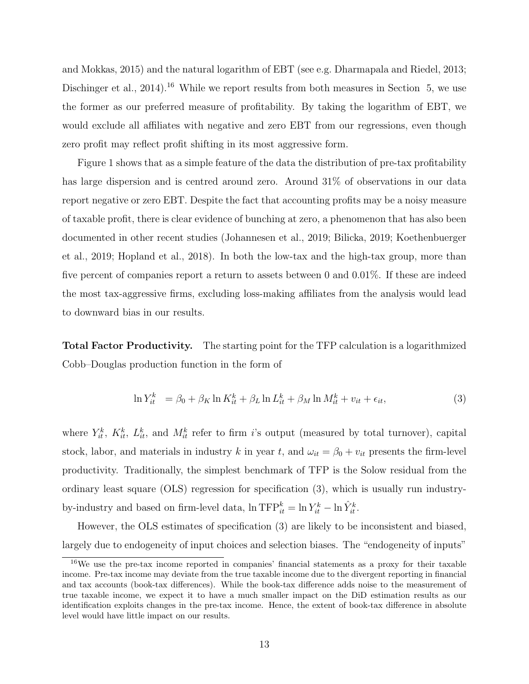and Mokkas, 2015) and the natural logarithm of EBT (see e.g. Dharmapala and Riedel, 2013; Dischinger et al., 2014).<sup>16</sup> While we report results from both measures in Section 5, we use the former as our preferred measure of profitability. By taking the logarithm of EBT, we would exclude all affiliates with negative and zero EBT from our regressions, even though zero profit may reflect profit shifting in its most aggressive form.

Figure 1 shows that as a simple feature of the data the distribution of pre-tax profitability has large dispersion and is centred around zero. Around 31% of observations in our data report negative or zero EBT. Despite the fact that accounting profits may be a noisy measure of taxable profit, there is clear evidence of bunching at zero, a phenomenon that has also been documented in other recent studies (Johannesen et al., 2019; Bilicka, 2019; Koethenbuerger et al., 2019; Hopland et al., 2018). In both the low-tax and the high-tax group, more than five percent of companies report a return to assets between 0 and 0.01%. If these are indeed the most tax-aggressive firms, excluding loss-making affiliates from the analysis would lead to downward bias in our results.

Total Factor Productivity. The starting point for the TFP calculation is a logarithmized Cobb–Douglas production function in the form of

$$
\ln Y_{it}^k = \beta_0 + \beta_K \ln K_{it}^k + \beta_L \ln L_{it}^k + \beta_M \ln M_{it}^k + v_{it} + \epsilon_{it},\tag{3}
$$

where  $Y_{it}^k$ ,  $K_{it}^k$ ,  $L_{it}^k$ , and  $M_{it}^k$  refer to firm i's output (measured by total turnover), capital stock, labor, and materials in industry k in year t, and  $\omega_{it} = \beta_0 + v_{it}$  presents the firm-level productivity. Traditionally, the simplest benchmark of TFP is the Solow residual from the ordinary least square (OLS) regression for specification (3), which is usually run industryby-industry and based on firm-level data,  $\ln \text{TFP}^k_{it} = \ln Y^k_{it} - \ln \hat{Y}^k_{it}$ .

However, the OLS estimates of specification (3) are likely to be inconsistent and biased, largely due to endogeneity of input choices and selection biases. The "endogeneity of inputs"

<sup>16</sup>We use the pre-tax income reported in companies' financial statements as a proxy for their taxable income. Pre-tax income may deviate from the true taxable income due to the divergent reporting in financial and tax accounts (book-tax differences). While the book-tax difference adds noise to the measurement of true taxable income, we expect it to have a much smaller impact on the DiD estimation results as our identification exploits changes in the pre-tax income. Hence, the extent of book-tax difference in absolute level would have little impact on our results.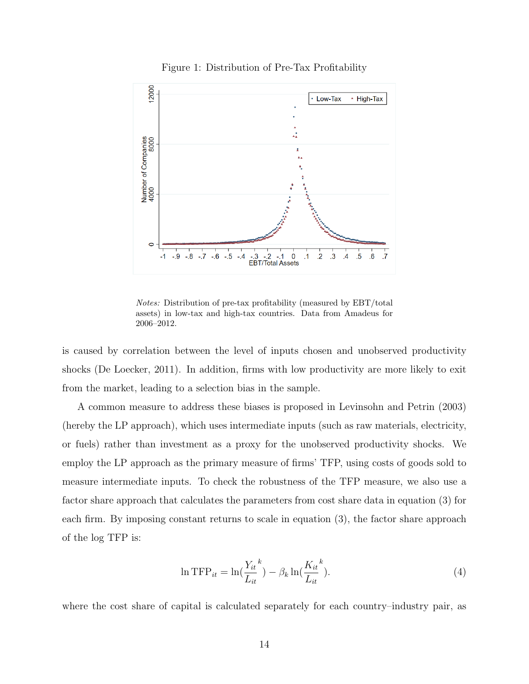

Figure 1: Distribution of Pre-Tax Profitability

Notes: Distribution of pre-tax profitability (measured by EBT/total assets) in low-tax and high-tax countries. Data from Amadeus for 2006–2012.

is caused by correlation between the level of inputs chosen and unobserved productivity shocks (De Loecker, 2011). In addition, firms with low productivity are more likely to exit from the market, leading to a selection bias in the sample.

A common measure to address these biases is proposed in Levinsohn and Petrin (2003) (hereby the LP approach), which uses intermediate inputs (such as raw materials, electricity, or fuels) rather than investment as a proxy for the unobserved productivity shocks. We employ the LP approach as the primary measure of firms' TFP, using costs of goods sold to measure intermediate inputs. To check the robustness of the TFP measure, we also use a factor share approach that calculates the parameters from cost share data in equation (3) for each firm. By imposing constant returns to scale in equation (3), the factor share approach of the log TFP is:

$$
\ln \text{TFP}_{it} = \ln \left( \frac{Y_{it}}{L_{it}}^{k} \right) - \beta_k \ln \left( \frac{K_{it}}{L_{it}}^{k} \right). \tag{4}
$$

where the cost share of capital is calculated separately for each country–industry pair, as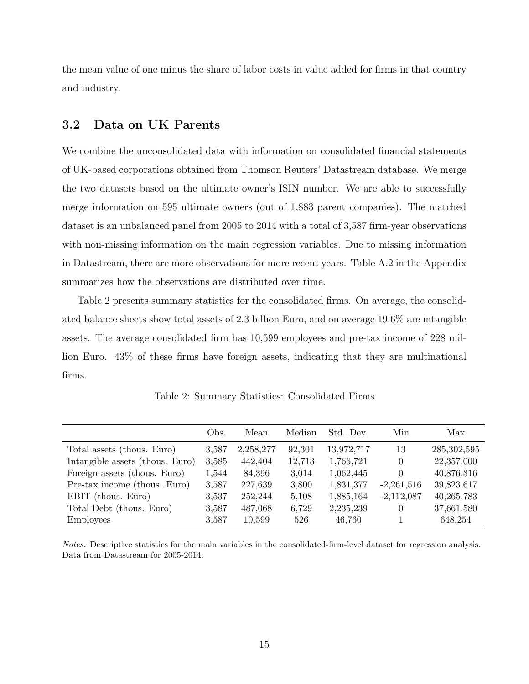the mean value of one minus the share of labor costs in value added for firms in that country and industry.

### 3.2 Data on UK Parents

We combine the unconsolidated data with information on consolidated financial statements of UK-based corporations obtained from Thomson Reuters' Datastream database. We merge the two datasets based on the ultimate owner's ISIN number. We are able to successfully merge information on 595 ultimate owners (out of 1,883 parent companies). The matched dataset is an unbalanced panel from 2005 to 2014 with a total of 3,587 firm-year observations with non-missing information on the main regression variables. Due to missing information in Datastream, there are more observations for more recent years. Table A.2 in the Appendix summarizes how the observations are distributed over time.

Table 2 presents summary statistics for the consolidated firms. On average, the consolidated balance sheets show total assets of 2.3 billion Euro, and on average 19.6% are intangible assets. The average consolidated firm has 10,599 employees and pre-tax income of 228 million Euro. 43% of these firms have foreign assets, indicating that they are multinational firms.

|                                 | Obs.  | Mean      | Median | Std. Dev.  | Min          | Max           |
|---------------------------------|-------|-----------|--------|------------|--------------|---------------|
| Total assets (thous. Euro)      | 3,587 | 2,258,277 | 92,301 | 13,972,717 | 13           | 285, 302, 595 |
| Intangible assets (thous. Euro) | 3,585 | 442,404   | 12,713 | 1,766,721  | $\theta$     | 22,357,000    |
| Foreign assets (thous. Euro)    | 1,544 | 84,396    | 3,014  | 1,062,445  | $\left($     | 40,876,316    |
| Pre-tax income (thous. Euro)    | 3,587 | 227,639   | 3,800  | 1,831,377  | $-2,261,516$ | 39,823,617    |
| EBIT (thous. Euro)              | 3,537 | 252,244   | 5,108  | 1,885,164  | $-2,112,087$ | 40, 265, 783  |
| Total Debt (thous. Euro)        | 3,587 | 487,068   | 6,729  | 2,235,239  | $\theta$     | 37,661,580    |
| <b>Employees</b>                | 3,587 | 10,599    | 526    | 46,760     |              | 648,254       |

Table 2: Summary Statistics: Consolidated Firms

Notes: Descriptive statistics for the main variables in the consolidated-firm-level dataset for regression analysis. Data from Datastream for 2005-2014.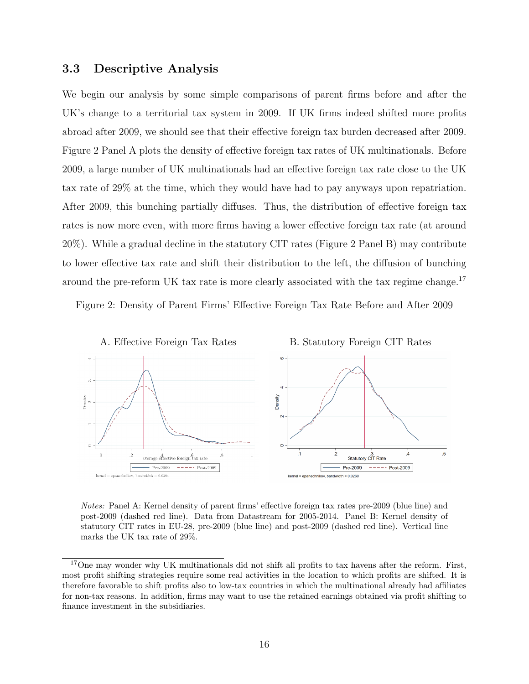### 3.3 Descriptive Analysis

We begin our analysis by some simple comparisons of parent firms before and after the UK's change to a territorial tax system in 2009. If UK firms indeed shifted more profits abroad after 2009, we should see that their effective foreign tax burden decreased after 2009. Figure 2 Panel A plots the density of effective foreign tax rates of UK multinationals. Before 2009, a large number of UK multinationals had an effective foreign tax rate close to the UK tax rate of 29% at the time, which they would have had to pay anyways upon repatriation. After 2009, this bunching partially diffuses. Thus, the distribution of effective foreign tax rates is now more even, with more firms having a lower effective foreign tax rate (at around 20%). While a gradual decline in the statutory CIT rates (Figure 2 Panel B) may contribute to lower effective tax rate and shift their distribution to the left, the diffusion of bunching around the pre-reform UK tax rate is more clearly associated with the tax regime change.<sup>17</sup>

Figure 2: Density of Parent Firms' Effective Foreign Tax Rate Before and After 2009



Notes: Panel A: Kernel density of parent firms' effective foreign tax rates pre-2009 (blue line) and post-2009 (dashed red line). Data from Datastream for 2005-2014. Panel B: Kernel density of statutory CIT rates in EU-28, pre-2009 (blue line) and post-2009 (dashed red line). Vertical line marks the UK tax rate of 29%.

<sup>&</sup>lt;sup>17</sup>One may wonder why UK multinationals did not shift all profits to tax havens after the reform. First, most profit shifting strategies require some real activities in the location to which profits are shifted. It is therefore favorable to shift profits also to low-tax countries in which the multinational already had affiliates for non-tax reasons. In addition, firms may want to use the retained earnings obtained via profit shifting to finance investment in the subsidiaries.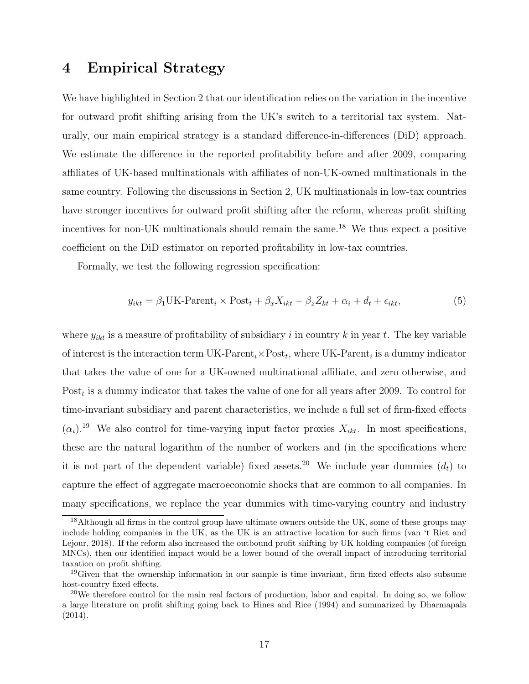## 4 Empirical Strategy

We have highlighted in Section 2 that our identification relies on the variation in the incentive for outward profit shifting arising from the UK's switch to a territorial tax system. Naturally, our main empirical strategy is a standard difference-in-differences (DiD) approach. We estimate the difference in the reported profitability before and after 2009, comparing affiliates of UK-based multinationals with affiliates of non-UK-owned multinationals in the same country. Following the discussions in Section 2, UK multinationals in low-tax countries have stronger incentives for outward profit shifting after the reform, whereas profit shifting incentives for non-UK multinationals should remain the same.<sup>18</sup> We thus expect a positive coefficient on the DiD estimator on reported profitability in low-tax countries.

Formally, we test the following regression specification:

$$
y_{ikt} = \beta_1 UK\text{-}Parent_i \times Post_t + \beta_x X_{ikt} + \beta_z Z_{kt} + \alpha_i + d_t + \epsilon_{ikt},\tag{5}
$$

where  $y_{ikt}$  is a measure of profitability of subsidiary i in country k in year t. The key variable of interest is the interaction term UK-Parent<sub>i</sub> $\times$ Post<sub>t</sub>, where UK-Parent<sub>i</sub> is a dummy indicator that takes the value of one for a UK-owned multinational affiliate, and zero otherwise, and Post<sub>t</sub> is a dummy indicator that takes the value of one for all years after 2009. To control for time-invariant subsidiary and parent characteristics, we include a full set of firm-fixed effects  $(\alpha_i)$ <sup>19</sup> We also control for time-varying input factor proxies  $X_{ikt}$ . In most specifications, these are the natural logarithm of the number of workers and (in the specifications where it is not part of the dependent variable) fixed assets.<sup>20</sup> We include year dummies  $(d_t)$  to capture the effect of aggregate macroeconomic shocks that are common to all companies. In many specifications, we replace the year dummies with time-varying country and industry

<sup>&</sup>lt;sup>18</sup>Although all firms in the control group have ultimate owners outside the UK, some of these groups may include holding companies in the UK, as the UK is an attractive location for such firms (van 't Riet and Lejour, 2018). If the reform also increased the outbound profit shifting by UK holding companies (of foreign MNCs), then our identified impact would be a lower bound of the overall impact of introducing territorial taxation on profit shifting.

<sup>19</sup>Given that the ownership information in our sample is time invariant, firm fixed effects also subsume host-country fixed effects.

<sup>&</sup>lt;sup>20</sup>We therefore control for the main real factors of production, labor and capital. In doing so, we follow a large literature on profit shifting going back to Hines and Rice (1994) and summarized by Dharmapala (2014).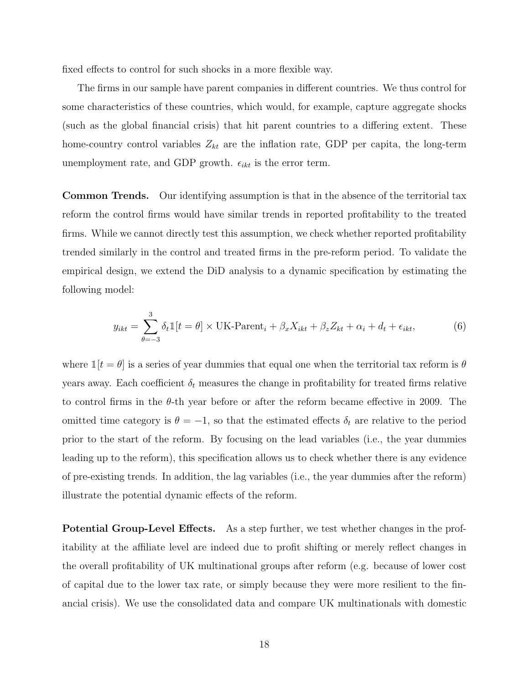fixed effects to control for such shocks in a more flexible way.

The firms in our sample have parent companies in different countries. We thus control for some characteristics of these countries, which would, for example, capture aggregate shocks (such as the global financial crisis) that hit parent countries to a differing extent. These home-country control variables  $Z_{kt}$  are the inflation rate, GDP per capita, the long-term unemployment rate, and GDP growth.  $\epsilon_{ikt}$  is the error term.

Common Trends. Our identifying assumption is that in the absence of the territorial tax reform the control firms would have similar trends in reported profitability to the treated firms. While we cannot directly test this assumption, we check whether reported profitability trended similarly in the control and treated firms in the pre-reform period. To validate the empirical design, we extend the DiD analysis to a dynamic specification by estimating the following model:

$$
y_{ikt} = \sum_{\theta=-3}^{3} \delta_t \mathbb{1}[t = \theta] \times \text{UK-Parent}_i + \beta_x X_{ikt} + \beta_z Z_{kt} + \alpha_i + d_t + \epsilon_{ikt},\tag{6}
$$

where  $\mathbb{1}[t = \theta]$  is a series of year dummies that equal one when the territorial tax reform is  $\theta$ years away. Each coefficient  $\delta_t$  measures the change in profitability for treated firms relative to control firms in the θ-th year before or after the reform became effective in 2009. The omitted time category is  $\theta = -1$ , so that the estimated effects  $\delta_t$  are relative to the period prior to the start of the reform. By focusing on the lead variables (i.e., the year dummies leading up to the reform), this specification allows us to check whether there is any evidence of pre-existing trends. In addition, the lag variables (i.e., the year dummies after the reform) illustrate the potential dynamic effects of the reform.

Potential Group-Level Effects. As a step further, we test whether changes in the profitability at the affiliate level are indeed due to profit shifting or merely reflect changes in the overall profitability of UK multinational groups after reform (e.g. because of lower cost of capital due to the lower tax rate, or simply because they were more resilient to the financial crisis). We use the consolidated data and compare UK multinationals with domestic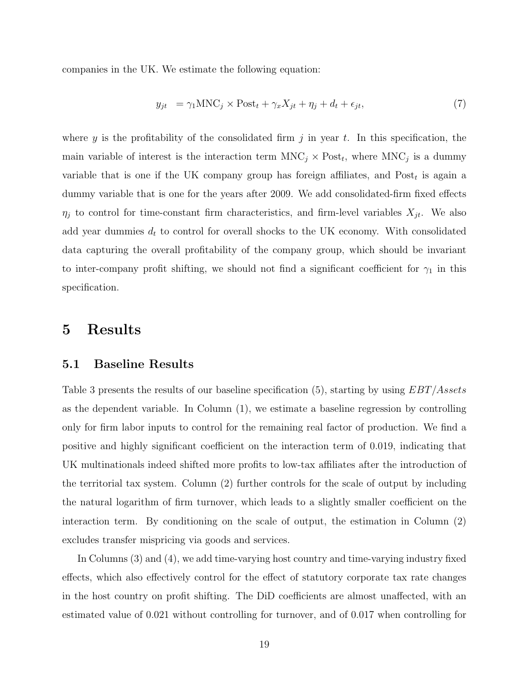companies in the UK. We estimate the following equation:

$$
y_{jt} = \gamma_1 \text{MNC}_j \times \text{Post}_t + \gamma_x X_{jt} + \eta_j + d_t + \epsilon_{jt},\tag{7}
$$

where y is the profitability of the consolidated firm j in year t. In this specification, the main variable of interest is the interaction term  $MNC_j \times Post_t$ , where  $MNC_j$  is a dummy variable that is one if the UK company group has foreign affiliates, and  $Post<sub>t</sub>$  is again a dummy variable that is one for the years after 2009. We add consolidated-firm fixed effects  $\eta_j$  to control for time-constant firm characteristics, and firm-level variables  $X_{jt}$ . We also add year dummies  $d_t$  to control for overall shocks to the UK economy. With consolidated data capturing the overall profitability of the company group, which should be invariant to inter-company profit shifting, we should not find a significant coefficient for  $\gamma_1$  in this specification.

## 5 Results

#### 5.1 Baseline Results

Table 3 presents the results of our baseline specification (5), starting by using  $EBT/Assets$ as the dependent variable. In Column (1), we estimate a baseline regression by controlling only for firm labor inputs to control for the remaining real factor of production. We find a positive and highly significant coefficient on the interaction term of 0.019, indicating that UK multinationals indeed shifted more profits to low-tax affiliates after the introduction of the territorial tax system. Column (2) further controls for the scale of output by including the natural logarithm of firm turnover, which leads to a slightly smaller coefficient on the interaction term. By conditioning on the scale of output, the estimation in Column (2) excludes transfer mispricing via goods and services.

In Columns (3) and (4), we add time-varying host country and time-varying industry fixed effects, which also effectively control for the effect of statutory corporate tax rate changes in the host country on profit shifting. The DiD coefficients are almost unaffected, with an estimated value of 0.021 without controlling for turnover, and of 0.017 when controlling for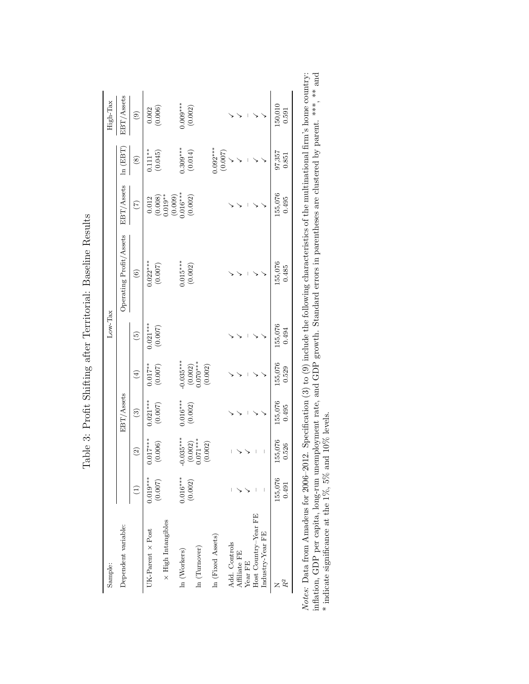| Sample:                   |                                                |                                              |                       |                                               | $Low-Task$      |                         |                                                                                                              |                       | High-Tax              |
|---------------------------|------------------------------------------------|----------------------------------------------|-----------------------|-----------------------------------------------|-----------------|-------------------------|--------------------------------------------------------------------------------------------------------------|-----------------------|-----------------------|
| Dependent variable:       |                                                |                                              | EBT/Assets            |                                               |                 | Operating Profit/Assets | EBT/Assets                                                                                                   | ln (EBT)              | EBT/Assets            |
|                           | $\left( \begin{matrix} 1 \end{matrix} \right)$ | $\widetilde{c}$                              | $\binom{3}{2}$        | $\left( \frac{1}{2} \right)$                  | $\widetilde{G}$ | $\widehat{\mathbf{e}}$  | $\widetilde{C}$                                                                                              | $\circledast$         | $\circledcirc$        |
| UK-Parent $\times$ Post   | $0.019***$                                     | $0.017***$                                   | $0.021***$            | $0.017**$                                     | $0.021***$      | $0.022***$<br>(0.007)   |                                                                                                              | $0.111**$<br>(0.045)  | (0.006)               |
| $\times$ High Intangibles | (0.007)                                        | (0.006)                                      | (0.007)               | (0.007)                                       | (0.007)         |                         | $\begin{array}{c} 0.012 \\ (0.008) \\ 0.019^{**} \\ (0.009) \\ (0.009) \\ 0.06^{***} \\ (0.002) \end{array}$ |                       |                       |
|                           |                                                |                                              |                       |                                               |                 |                         |                                                                                                              |                       |                       |
| ln (Workers)              | $0.016***$                                     |                                              |                       |                                               |                 |                         |                                                                                                              |                       |                       |
|                           | (0.002)                                        | $0.035***$<br>(0.002)<br>0.071***<br>(0.002) | $0.016***$<br>(0.002) | $-0.035***$<br>(0.002)<br>0.070***<br>(0.002) |                 | $0.015***$<br>(0.002)   |                                                                                                              | $0.309***$<br>(0.014) | $0.009***$<br>(0.002) |
| ln (Turnover)             |                                                |                                              |                       |                                               |                 |                         |                                                                                                              |                       |                       |
|                           |                                                |                                              |                       |                                               |                 |                         |                                                                                                              |                       |                       |
| In (Fixed Assets)         |                                                |                                              |                       |                                               |                 |                         |                                                                                                              |                       |                       |
|                           |                                                |                                              |                       |                                               |                 |                         |                                                                                                              | $0.092***$<br>(0.007) |                       |
| Add. Controls             |                                                |                                              |                       |                                               |                 |                         |                                                                                                              |                       |                       |
| Affiliate FE              |                                                |                                              |                       |                                               |                 |                         |                                                                                                              |                       |                       |
| Year FE                   |                                                |                                              |                       |                                               |                 |                         |                                                                                                              |                       |                       |
| Host Country-Year FE      |                                                |                                              |                       |                                               |                 |                         |                                                                                                              |                       |                       |
| Industry-Year FE          |                                                |                                              |                       |                                               |                 |                         |                                                                                                              |                       |                       |
|                           | 155,076                                        | 155,076                                      | 155,076               | 155,076                                       | 155,076         | 155,076                 | 155,076                                                                                                      | 97,357                | 150,010               |
|                           | 0.491                                          | 0.526                                        | 0.495                 | 0.529                                         | 0.494           | 0.485                   | 0.495                                                                                                        | 0.851                 | 0.591                 |

Table 3: Profit Shifting after Territorial: Baseline Results Table 3: Profit Shifting after Territorial: Baseline Results *Notes*: Data from Amadeus for 2006–2012. Specification (3) to (9) include the following characteristics of the multinational firm's home country:<br>inflation, GDP per capita, long-run unemployment rate, and GDP growth. Sta Notes: Data from Amadeus for 2006–2012. Specification (3) to (9) include the following characteristics of the multinational firm's home country: inflation, GDP per capita, long-run unemployment rate, and GDP growth. Standard errors in parentheses are clustered by parent. \*\*\*, \*\* and \* indicate significance at the 1%, 5% and 10% levels.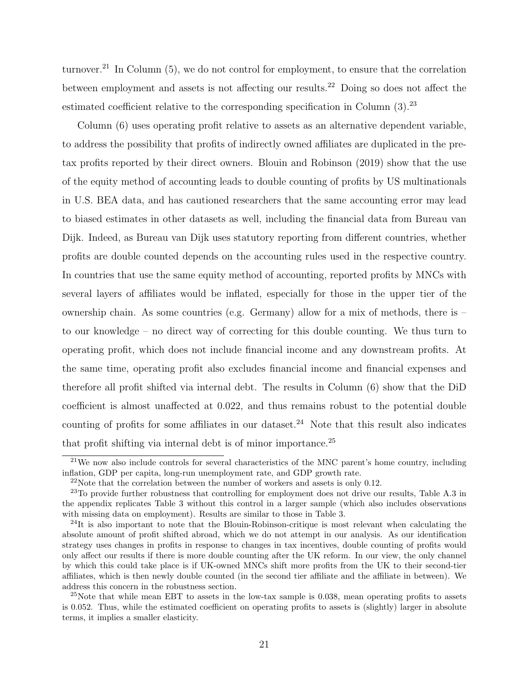turnover.<sup>21</sup> In Column  $(5)$ , we do not control for employment, to ensure that the correlation between employment and assets is not affecting our results.<sup>22</sup> Doing so does not affect the estimated coefficient relative to the corresponding specification in Column  $(3)$ <sup>23</sup>

Column (6) uses operating profit relative to assets as an alternative dependent variable, to address the possibility that profits of indirectly owned affiliates are duplicated in the pretax profits reported by their direct owners. Blouin and Robinson (2019) show that the use of the equity method of accounting leads to double counting of profits by US multinationals in U.S. BEA data, and has cautioned researchers that the same accounting error may lead to biased estimates in other datasets as well, including the financial data from Bureau van Dijk. Indeed, as Bureau van Dijk uses statutory reporting from different countries, whether profits are double counted depends on the accounting rules used in the respective country. In countries that use the same equity method of accounting, reported profits by MNCs with several layers of affiliates would be inflated, especially for those in the upper tier of the ownership chain. As some countries (e.g. Germany) allow for a mix of methods, there is – to our knowledge – no direct way of correcting for this double counting. We thus turn to operating profit, which does not include financial income and any downstream profits. At the same time, operating profit also excludes financial income and financial expenses and therefore all profit shifted via internal debt. The results in Column (6) show that the DiD coefficient is almost unaffected at 0.022, and thus remains robust to the potential double counting of profits for some affiliates in our dataset.<sup>24</sup> Note that this result also indicates that profit shifting via internal debt is of minor importance.<sup>25</sup>

 $21$ We now also include controls for several characteristics of the MNC parent's home country, including inflation, GDP per capita, long-run unemployment rate, and GDP growth rate.

 $22$ Note that the correlation between the number of workers and assets is only 0.12.

 $23$ To provide further robustness that controlling for employment does not drive our results, Table A.3 in the appendix replicates Table 3 without this control in a larger sample (which also includes observations with missing data on employment). Results are similar to those in Table 3.

 $^{24}$ It is also important to note that the Blouin-Robinson-critique is most relevant when calculating the absolute amount of profit shifted abroad, which we do not attempt in our analysis. As our identification strategy uses changes in profits in response to changes in tax incentives, double counting of profits would only affect our results if there is more double counting after the UK reform. In our view, the only channel by which this could take place is if UK-owned MNCs shift more profits from the UK to their second-tier affiliates, which is then newly double counted (in the second tier affiliate and the affiliate in between). We address this concern in the robustness section.

 $^{25}$ Note that while mean EBT to assets in the low-tax sample is 0.038, mean operating profits to assets is 0.052. Thus, while the estimated coefficient on operating profits to assets is (slightly) larger in absolute terms, it implies a smaller elasticity.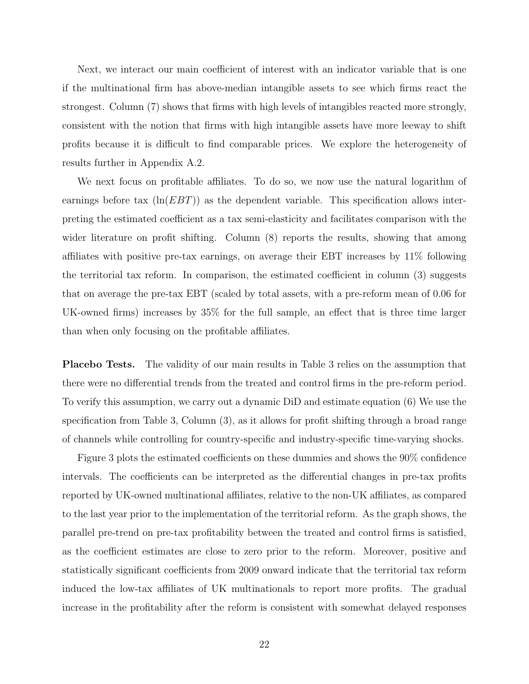Next, we interact our main coefficient of interest with an indicator variable that is one if the multinational firm has above-median intangible assets to see which firms react the strongest. Column (7) shows that firms with high levels of intangibles reacted more strongly, consistent with the notion that firms with high intangible assets have more leeway to shift profits because it is difficult to find comparable prices. We explore the heterogeneity of results further in Appendix A.2.

We next focus on profitable affiliates. To do so, we now use the natural logarithm of earnings before tax  $(\ln(EBT))$  as the dependent variable. This specification allows interpreting the estimated coefficient as a tax semi-elasticity and facilitates comparison with the wider literature on profit shifting. Column  $(8)$  reports the results, showing that among affiliates with positive pre-tax earnings, on average their EBT increases by 11% following the territorial tax reform. In comparison, the estimated coefficient in column (3) suggests that on average the pre-tax EBT (scaled by total assets, with a pre-reform mean of 0.06 for UK-owned firms) increases by 35% for the full sample, an effect that is three time larger than when only focusing on the profitable affiliates.

Placebo Tests. The validity of our main results in Table 3 relies on the assumption that there were no differential trends from the treated and control firms in the pre-reform period. To verify this assumption, we carry out a dynamic DiD and estimate equation (6) We use the specification from Table 3, Column (3), as it allows for profit shifting through a broad range of channels while controlling for country-specific and industry-specific time-varying shocks.

Figure 3 plots the estimated coefficients on these dummies and shows the 90% confidence intervals. The coefficients can be interpreted as the differential changes in pre-tax profits reported by UK-owned multinational affiliates, relative to the non-UK affiliates, as compared to the last year prior to the implementation of the territorial reform. As the graph shows, the parallel pre-trend on pre-tax profitability between the treated and control firms is satisfied, as the coefficient estimates are close to zero prior to the reform. Moreover, positive and statistically significant coefficients from 2009 onward indicate that the territorial tax reform induced the low-tax affiliates of UK multinationals to report more profits. The gradual increase in the profitability after the reform is consistent with somewhat delayed responses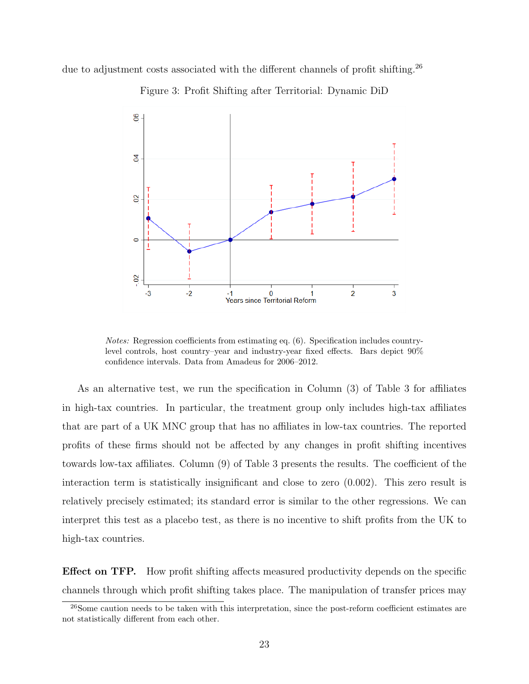due to adjustment costs associated with the different channels of profit shifting.<sup>26</sup>



Figure 3: Profit Shifting after Territorial: Dynamic DiD

Notes: Regression coefficients from estimating eq. (6). Specification includes countrylevel controls, host country–year and industry-year fixed effects. Bars depict 90% confidence intervals. Data from Amadeus for 2006–2012.

As an alternative test, we run the specification in Column (3) of Table 3 for affiliates in high-tax countries. In particular, the treatment group only includes high-tax affiliates that are part of a UK MNC group that has no affiliates in low-tax countries. The reported profits of these firms should not be affected by any changes in profit shifting incentives towards low-tax affiliates. Column (9) of Table 3 presents the results. The coefficient of the interaction term is statistically insignificant and close to zero (0.002). This zero result is relatively precisely estimated; its standard error is similar to the other regressions. We can interpret this test as a placebo test, as there is no incentive to shift profits from the UK to high-tax countries.

Effect on TFP. How profit shifting affects measured productivity depends on the specific channels through which profit shifting takes place. The manipulation of transfer prices may

<sup>&</sup>lt;sup>26</sup>Some caution needs to be taken with this interpretation, since the post-reform coefficient estimates are not statistically different from each other.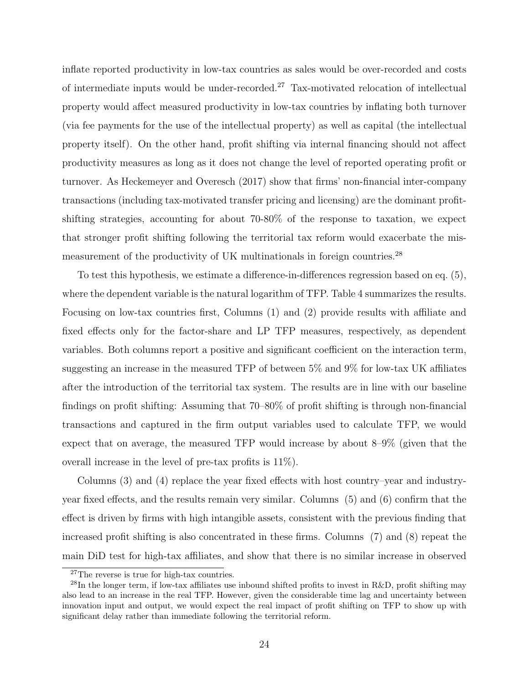inflate reported productivity in low-tax countries as sales would be over-recorded and costs of intermediate inputs would be under-recorded.<sup>27</sup> Tax-motivated relocation of intellectual property would affect measured productivity in low-tax countries by inflating both turnover (via fee payments for the use of the intellectual property) as well as capital (the intellectual property itself). On the other hand, profit shifting via internal financing should not affect productivity measures as long as it does not change the level of reported operating profit or turnover. As Heckemeyer and Overesch (2017) show that firms' non-financial inter-company transactions (including tax-motivated transfer pricing and licensing) are the dominant profitshifting strategies, accounting for about 70-80% of the response to taxation, we expect that stronger profit shifting following the territorial tax reform would exacerbate the mismeasurement of the productivity of UK multinationals in foreign countries.<sup>28</sup>

To test this hypothesis, we estimate a difference-in-differences regression based on eq. (5), where the dependent variable is the natural logarithm of TFP. Table 4 summarizes the results. Focusing on low-tax countries first, Columns (1) and (2) provide results with affiliate and fixed effects only for the factor-share and LP TFP measures, respectively, as dependent variables. Both columns report a positive and significant coefficient on the interaction term, suggesting an increase in the measured TFP of between 5% and 9% for low-tax UK affiliates after the introduction of the territorial tax system. The results are in line with our baseline findings on profit shifting: Assuming that 70–80% of profit shifting is through non-financial transactions and captured in the firm output variables used to calculate TFP, we would expect that on average, the measured TFP would increase by about 8–9% (given that the overall increase in the level of pre-tax profits is 11%).

Columns (3) and (4) replace the year fixed effects with host country–year and industryyear fixed effects, and the results remain very similar. Columns (5) and (6) confirm that the effect is driven by firms with high intangible assets, consistent with the previous finding that increased profit shifting is also concentrated in these firms. Columns (7) and (8) repeat the main DiD test for high-tax affiliates, and show that there is no similar increase in observed

<sup>27</sup>The reverse is true for high-tax countries.

<sup>&</sup>lt;sup>28</sup>In the longer term, if low-tax affiliates use inbound shifted profits to invest in R&D, profit shifting may also lead to an increase in the real TFP. However, given the considerable time lag and uncertainty between innovation input and output, we would expect the real impact of profit shifting on TFP to show up with significant delay rather than immediate following the territorial reform.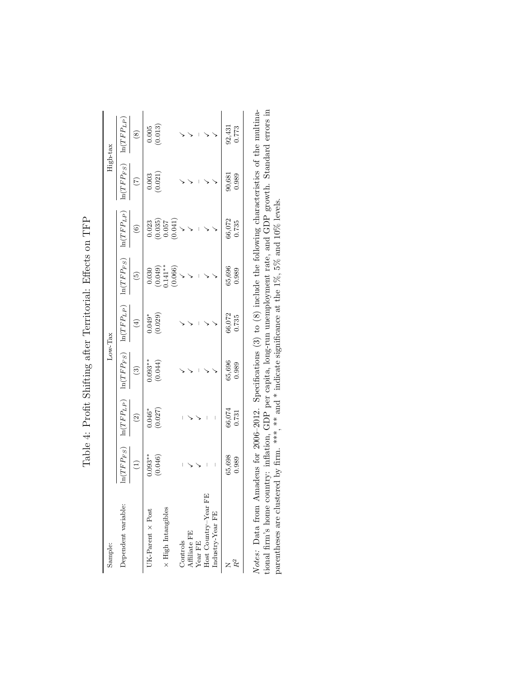| $\begin{array}{c} 0.030 \\ (0.049) \\ 0.141^{**} \\ (0.066) \end{array}$<br>$\ln(TFP_{LP})$<br>(0.029)<br>$0.049*$<br>$\left( 4\right)$<br>$\ln(TFP_{FS})$<br>$0.093**$<br>(0.044)<br>$\circled{3}$<br>$\ln(TFP_{LP})$<br>$(0.027)$<br>$0.046*$<br>$\widehat{c}$<br>$\mid$<br>$\ln(TFP_{FS})$<br>$0.093**$<br>(0.046)<br>65,698<br>$\begin{pmatrix} 1 \end{pmatrix}$<br>$\mid$<br>Host Country-Year $\textrm{FE}$<br>Dependent variable:<br>$\times$ High Intangibles<br>UK-Parent $\times$ Post<br>Industry-Year FE<br>Affiliate FE<br>Year ${\rm FE}$<br>Controls |                  |        | $\ln(TFP_{FS})$ |                                                                                            | High-tax                                       |                                                 |
|---------------------------------------------------------------------------------------------------------------------------------------------------------------------------------------------------------------------------------------------------------------------------------------------------------------------------------------------------------------------------------------------------------------------------------------------------------------------------------------------------------------------------------------------------------------------|------------------|--------|-----------------|--------------------------------------------------------------------------------------------|------------------------------------------------|-------------------------------------------------|
|                                                                                                                                                                                                                                                                                                                                                                                                                                                                                                                                                                     |                  |        |                 | $\ln(TFP_{LP})$                                                                            | $\ln(TFP_{FS})$                                | $\ln(TFP_{LP})$                                 |
|                                                                                                                                                                                                                                                                                                                                                                                                                                                                                                                                                                     |                  |        | $\binom{5}{2}$  | $\odot$                                                                                    | $\widetilde{C}$                                | $\circled{s}$                                   |
|                                                                                                                                                                                                                                                                                                                                                                                                                                                                                                                                                                     |                  |        |                 |                                                                                            |                                                |                                                 |
|                                                                                                                                                                                                                                                                                                                                                                                                                                                                                                                                                                     |                  |        |                 |                                                                                            | (0.003)                                        | $\begin{array}{c} 0.005 \\ (0.013) \end{array}$ |
|                                                                                                                                                                                                                                                                                                                                                                                                                                                                                                                                                                     |                  |        |                 |                                                                                            |                                                |                                                 |
|                                                                                                                                                                                                                                                                                                                                                                                                                                                                                                                                                                     |                  |        |                 | $\begin{array}{c} 0.023 \\ (0.035) \\ 0.057 \\ (0.041) \\ (0.041) \\ \sqrt{ } \end{array}$ |                                                |                                                 |
|                                                                                                                                                                                                                                                                                                                                                                                                                                                                                                                                                                     |                  |        | $\checkmark$    |                                                                                            |                                                |                                                 |
|                                                                                                                                                                                                                                                                                                                                                                                                                                                                                                                                                                     |                  |        |                 |                                                                                            |                                                |                                                 |
|                                                                                                                                                                                                                                                                                                                                                                                                                                                                                                                                                                     |                  |        |                 |                                                                                            |                                                |                                                 |
|                                                                                                                                                                                                                                                                                                                                                                                                                                                                                                                                                                     |                  |        |                 |                                                                                            |                                                |                                                 |
|                                                                                                                                                                                                                                                                                                                                                                                                                                                                                                                                                                     |                  |        |                 |                                                                                            |                                                |                                                 |
|                                                                                                                                                                                                                                                                                                                                                                                                                                                                                                                                                                     | 65,696<br>66,074 | 66,072 | 65,696          | 66,072                                                                                     |                                                |                                                 |
| 0.735<br>0.989<br>0.731<br>0.989                                                                                                                                                                                                                                                                                                                                                                                                                                                                                                                                    |                  |        | 0.989           | 0.735                                                                                      | $\begin{array}{c} 90,681 \\ 0.989 \end{array}$ | $\frac{92,431}{0.773}$                          |

Table 4: Profit Shifting after Territorial: Effects on TFP Table 4: Profit Shifting after Territorial: Effects on TFP

*Notes*: Data from Amadeus for 2006-2012. Specifications (3) to (8) include the following characteristics of the multimational firm's home country: inflation, GDP per capita, long-run unemployment rate, and GDP growth. St Notes: Data from Amadeus for 2006–2012. Specifications (3) to (8) include the following characteristics of the multinational firm's home country: inflation, GDP per capita, long-run unemployment rate, and GDP growth. Standard errors in parentheses are clustered by firm. \*\*\*, \*\* and \* indicate significance at the 1%, 5% and 10% levels.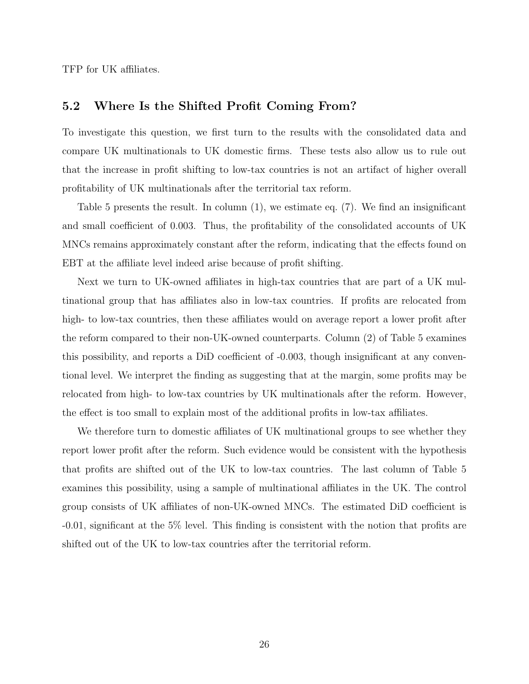TFP for UK affiliates.

#### 5.2 Where Is the Shifted Profit Coming From?

To investigate this question, we first turn to the results with the consolidated data and compare UK multinationals to UK domestic firms. These tests also allow us to rule out that the increase in profit shifting to low-tax countries is not an artifact of higher overall profitability of UK multinationals after the territorial tax reform.

Table 5 presents the result. In column (1), we estimate eq. (7). We find an insignificant and small coefficient of 0.003. Thus, the profitability of the consolidated accounts of UK MNCs remains approximately constant after the reform, indicating that the effects found on EBT at the affiliate level indeed arise because of profit shifting.

Next we turn to UK-owned affiliates in high-tax countries that are part of a UK multinational group that has affiliates also in low-tax countries. If profits are relocated from high- to low-tax countries, then these affiliates would on average report a lower profit after the reform compared to their non-UK-owned counterparts. Column (2) of Table 5 examines this possibility, and reports a DiD coefficient of -0.003, though insignificant at any conventional level. We interpret the finding as suggesting that at the margin, some profits may be relocated from high- to low-tax countries by UK multinationals after the reform. However, the effect is too small to explain most of the additional profits in low-tax affiliates.

We therefore turn to domestic affiliates of UK multinational groups to see whether they report lower profit after the reform. Such evidence would be consistent with the hypothesis that profits are shifted out of the UK to low-tax countries. The last column of Table 5 examines this possibility, using a sample of multinational affiliates in the UK. The control group consists of UK affiliates of non-UK-owned MNCs. The estimated DiD coefficient is -0.01, significant at the 5% level. This finding is consistent with the notion that profits are shifted out of the UK to low-tax countries after the territorial reform.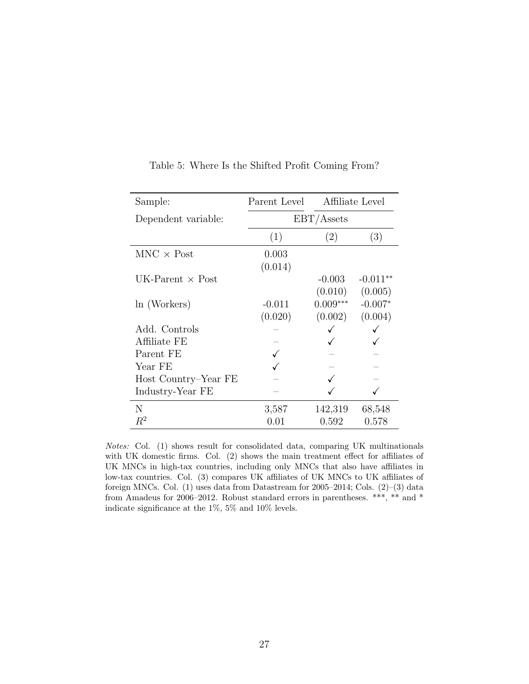| Sample:                 | Parent Level |            | Affiliate Level |
|-------------------------|--------------|------------|-----------------|
| Dependent variable:     |              | EBT/Assets |                 |
|                         | (1)          | (2)        | (3)             |
| $MNC \times Post$       | 0.003        |            |                 |
|                         | (0.014)      |            |                 |
| UK-Parent $\times$ Post |              | $-0.003$   | $-0.011**$      |
|                         |              | (0.010)    | (0.005)         |
| $ln$ (Workers)          | $-0.011$     | $0.009***$ | $-0.007*$       |
|                         | (0.020)      | (0.002)    | (0.004)         |
| Add. Controls           |              |            |                 |
| Affiliate FE            |              |            |                 |
| Parent FE               |              |            |                 |
| Year FE                 |              |            |                 |
| Host Country–Year FE    |              |            |                 |
| Industry-Year FE        |              |            |                 |
| N                       | 3,587        | 142,319    | 68,548          |
| $R^2$                   | 0.01         | 0.592      | 0.578           |

Table 5: Where Is the Shifted Profit Coming From?

Notes: Col. (1) shows result for consolidated data, comparing UK multinationals with UK domestic firms. Col. (2) shows the main treatment effect for affiliates of UK MNCs in high-tax countries, including only MNCs that also have affiliates in low-tax countries. Col. (3) compares UK affiliates of UK MNCs to UK affiliates of foreign MNCs. Col. (1) uses data from Datastream for 2005–2014; Cols. (2)–(3) data from Amadeus for 2006–2012. Robust standard errors in parentheses. \*\*\*, \*\* and \* indicate significance at the 1%, 5% and 10% levels.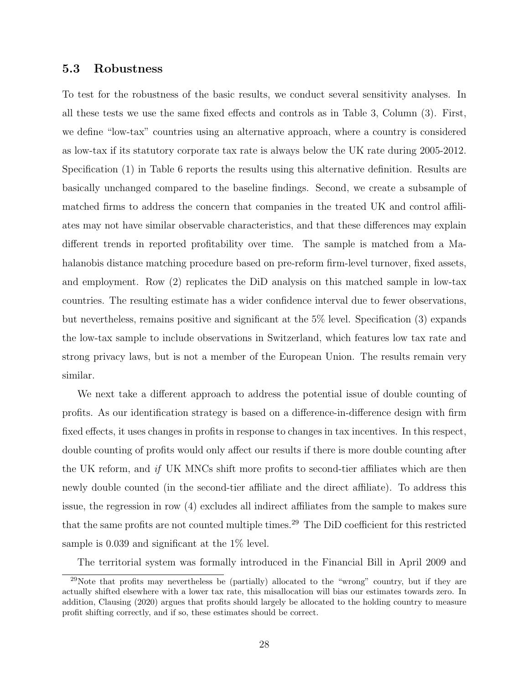#### 5.3 Robustness

To test for the robustness of the basic results, we conduct several sensitivity analyses. In all these tests we use the same fixed effects and controls as in Table 3, Column (3). First, we define "low-tax" countries using an alternative approach, where a country is considered as low-tax if its statutory corporate tax rate is always below the UK rate during 2005-2012. Specification (1) in Table 6 reports the results using this alternative definition. Results are basically unchanged compared to the baseline findings. Second, we create a subsample of matched firms to address the concern that companies in the treated UK and control affiliates may not have similar observable characteristics, and that these differences may explain different trends in reported profitability over time. The sample is matched from a Mahalanobis distance matching procedure based on pre-reform firm-level turnover, fixed assets, and employment. Row (2) replicates the DiD analysis on this matched sample in low-tax countries. The resulting estimate has a wider confidence interval due to fewer observations, but nevertheless, remains positive and significant at the 5% level. Specification (3) expands the low-tax sample to include observations in Switzerland, which features low tax rate and strong privacy laws, but is not a member of the European Union. The results remain very similar.

We next take a different approach to address the potential issue of double counting of profits. As our identification strategy is based on a difference-in-difference design with firm fixed effects, it uses changes in profits in response to changes in tax incentives. In this respect, double counting of profits would only affect our results if there is more double counting after the UK reform, and if UK MNCs shift more profits to second-tier affiliates which are then newly double counted (in the second-tier affiliate and the direct affiliate). To address this issue, the regression in row (4) excludes all indirect affiliates from the sample to makes sure that the same profits are not counted multiple times.<sup>29</sup> The DiD coefficient for this restricted sample is 0.039 and significant at the 1% level.

The territorial system was formally introduced in the Financial Bill in April 2009 and

 $^{29}$ Note that profits may nevertheless be (partially) allocated to the "wrong" country, but if they are actually shifted elsewhere with a lower tax rate, this misallocation will bias our estimates towards zero. In addition, Clausing (2020) argues that profits should largely be allocated to the holding country to measure profit shifting correctly, and if so, these estimates should be correct.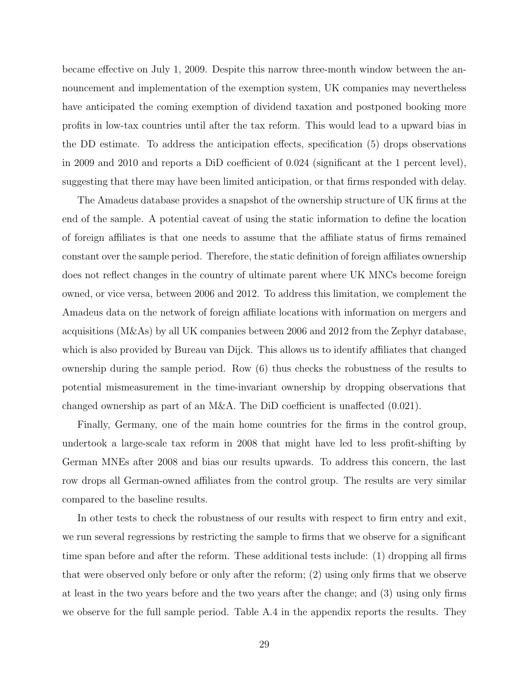became effective on July 1, 2009. Despite this narrow three-month window between the announcement and implementation of the exemption system, UK companies may nevertheless have anticipated the coming exemption of dividend taxation and postponed booking more profits in low-tax countries until after the tax reform. This would lead to a upward bias in the DD estimate. To address the anticipation effects, specification (5) drops observations in 2009 and 2010 and reports a DiD coefficient of 0.024 (significant at the 1 percent level), suggesting that there may have been limited anticipation, or that firms responded with delay.

The Amadeus database provides a snapshot of the ownership structure of UK firms at the end of the sample. A potential caveat of using the static information to define the location of foreign affiliates is that one needs to assume that the affiliate status of firms remained constant over the sample period. Therefore, the static definition of foreign affiliates ownership does not reflect changes in the country of ultimate parent where UK MNCs become foreign owned, or vice versa, between 2006 and 2012. To address this limitation, we complement the Amadeus data on the network of foreign affiliate locations with information on mergers and acquisitions (M&As) by all UK companies between 2006 and 2012 from the Zephyr database, which is also provided by Bureau van Dijck. This allows us to identify affiliates that changed ownership during the sample period. Row (6) thus checks the robustness of the results to potential mismeasurement in the time-invariant ownership by dropping observations that changed ownership as part of an  $M\&A$ . The DiD coefficient is unaffected  $(0.021)$ .

Finally, Germany, one of the main home countries for the firms in the control group, undertook a large-scale tax reform in 2008 that might have led to less profit-shifting by German MNEs after 2008 and bias our results upwards. To address this concern, the last row drops all German-owned affiliates from the control group. The results are very similar compared to the baseline results.

In other tests to check the robustness of our results with respect to firm entry and exit, we run several regressions by restricting the sample to firms that we observe for a significant time span before and after the reform. These additional tests include: (1) dropping all firms that were observed only before or only after the reform; (2) using only firms that we observe at least in the two years before and the two years after the change; and (3) using only firms we observe for the full sample period. Table A.4 in the appendix reports the results. They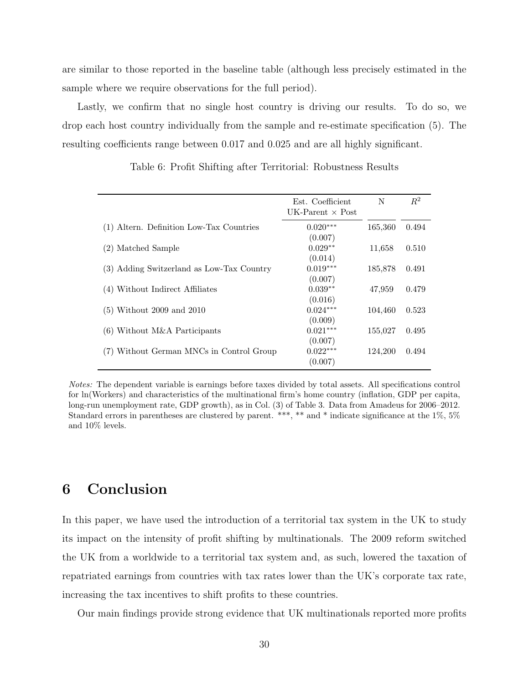are similar to those reported in the baseline table (although less precisely estimated in the sample where we require observations for the full period).

Lastly, we confirm that no single host country is driving our results. To do so, we drop each host country individually from the sample and re-estimate specification (5). The resulting coefficients range between 0.017 and 0.025 and are all highly significant.

|                                           | Est. Coefficient<br>UK-Parent $\times$ Post | N       | $R^2$ |
|-------------------------------------------|---------------------------------------------|---------|-------|
| (1) Altern. Definition Low-Tax Countries  | $0.020***$<br>(0.007)                       | 165,360 | 0.494 |
| (2) Matched Sample                        | $0.029**$                                   | 11,658  | 0.510 |
| (3) Adding Switzerland as Low-Tax Country | (0.014)<br>$0.019***$                       | 185,878 | 0.491 |
| (4) Without Indirect Affiliates           | (0.007)<br>$0.039**$                        | 47,959  | 0.479 |
| $(5)$ Without 2009 and 2010               | (0.016)<br>$0.024***$                       | 104,460 | 0.523 |
| $(6)$ Without M&A Participants            | (0.009)<br>$0.021***$                       | 155,027 | 0.495 |
| (7) Without German MNCs in Control Group  | (0.007)<br>$0.022***$                       | 124,200 | 0.494 |
|                                           | (0.007)                                     |         |       |

Table 6: Profit Shifting after Territorial: Robustness Results

Notes: The dependent variable is earnings before taxes divided by total assets. All specifications control for ln(Workers) and characteristics of the multinational firm's home country (inflation, GDP per capita, long-run unemployment rate, GDP growth), as in Col. (3) of Table 3. Data from Amadeus for 2006–2012. Standard errors in parentheses are clustered by parent. \*\*\*, \*\* and \* indicate significance at the 1%, 5% and 10% levels.

## 6 Conclusion

In this paper, we have used the introduction of a territorial tax system in the UK to study its impact on the intensity of profit shifting by multinationals. The 2009 reform switched the UK from a worldwide to a territorial tax system and, as such, lowered the taxation of repatriated earnings from countries with tax rates lower than the UK's corporate tax rate, increasing the tax incentives to shift profits to these countries.

Our main findings provide strong evidence that UK multinationals reported more profits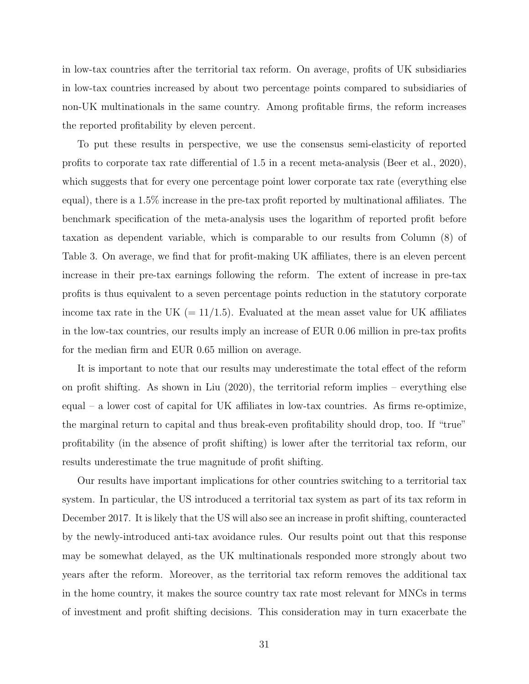in low-tax countries after the territorial tax reform. On average, profits of UK subsidiaries in low-tax countries increased by about two percentage points compared to subsidiaries of non-UK multinationals in the same country. Among profitable firms, the reform increases the reported profitability by eleven percent.

To put these results in perspective, we use the consensus semi-elasticity of reported profits to corporate tax rate differential of 1.5 in a recent meta-analysis (Beer et al., 2020), which suggests that for every one percentage point lower corporate tax rate (everything else equal), there is a 1.5% increase in the pre-tax profit reported by multinational affiliates. The benchmark specification of the meta-analysis uses the logarithm of reported profit before taxation as dependent variable, which is comparable to our results from Column (8) of Table 3. On average, we find that for profit-making UK affiliates, there is an eleven percent increase in their pre-tax earnings following the reform. The extent of increase in pre-tax profits is thus equivalent to a seven percentage points reduction in the statutory corporate income tax rate in the UK  $(=11/1.5)$ . Evaluated at the mean asset value for UK affiliates in the low-tax countries, our results imply an increase of EUR 0.06 million in pre-tax profits for the median firm and EUR 0.65 million on average.

It is important to note that our results may underestimate the total effect of the reform on profit shifting. As shown in Liu (2020), the territorial reform implies – everything else equal – a lower cost of capital for UK affiliates in low-tax countries. As firms re-optimize, the marginal return to capital and thus break-even profitability should drop, too. If "true" profitability (in the absence of profit shifting) is lower after the territorial tax reform, our results underestimate the true magnitude of profit shifting.

Our results have important implications for other countries switching to a territorial tax system. In particular, the US introduced a territorial tax system as part of its tax reform in December 2017. It is likely that the US will also see an increase in profit shifting, counteracted by the newly-introduced anti-tax avoidance rules. Our results point out that this response may be somewhat delayed, as the UK multinationals responded more strongly about two years after the reform. Moreover, as the territorial tax reform removes the additional tax in the home country, it makes the source country tax rate most relevant for MNCs in terms of investment and profit shifting decisions. This consideration may in turn exacerbate the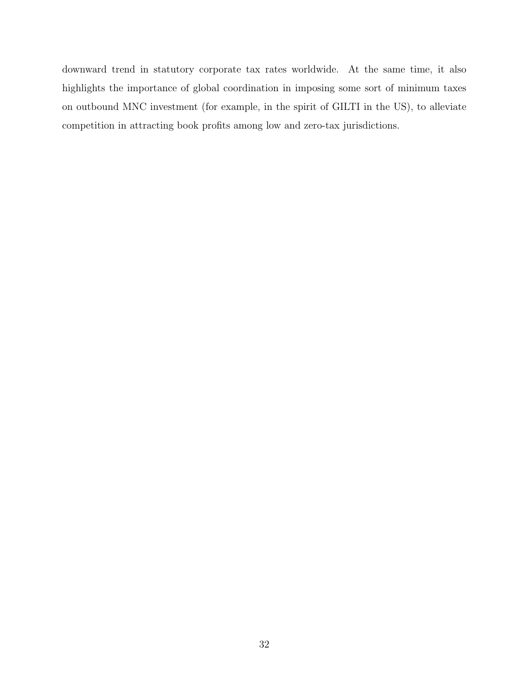downward trend in statutory corporate tax rates worldwide. At the same time, it also highlights the importance of global coordination in imposing some sort of minimum taxes on outbound MNC investment (for example, in the spirit of GILTI in the US), to alleviate competition in attracting book profits among low and zero-tax jurisdictions.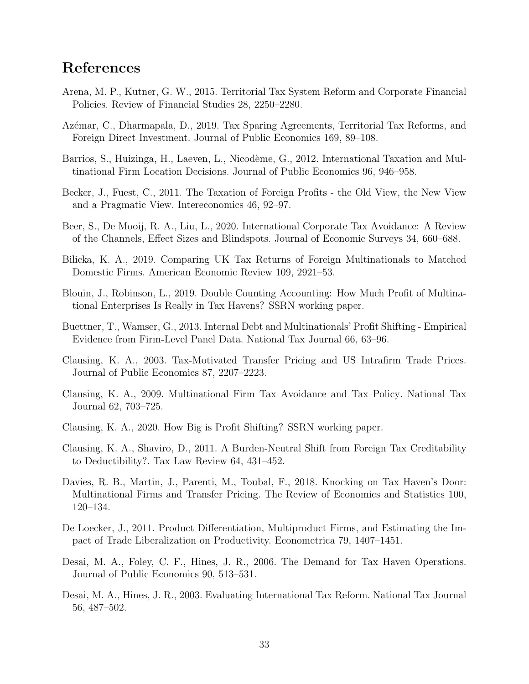## References

- Arena, M. P., Kutner, G. W., 2015. Territorial Tax System Reform and Corporate Financial Policies. Review of Financial Studies 28, 2250–2280.
- Azémar, C., Dharmapala, D., 2019. Tax Sparing Agreements, Territorial Tax Reforms, and Foreign Direct Investment. Journal of Public Economics 169, 89–108.
- Barrios, S., Huizinga, H., Laeven, L., Nicodème, G., 2012. International Taxation and Multinational Firm Location Decisions. Journal of Public Economics 96, 946–958.
- Becker, J., Fuest, C., 2011. The Taxation of Foreign Profits the Old View, the New View and a Pragmatic View. Intereconomics 46, 92–97.
- Beer, S., De Mooij, R. A., Liu, L., 2020. International Corporate Tax Avoidance: A Review of the Channels, Effect Sizes and Blindspots. Journal of Economic Surveys 34, 660–688.
- Bilicka, K. A., 2019. Comparing UK Tax Returns of Foreign Multinationals to Matched Domestic Firms. American Economic Review 109, 2921–53.
- Blouin, J., Robinson, L., 2019. Double Counting Accounting: How Much Profit of Multinational Enterprises Is Really in Tax Havens? SSRN working paper.
- Buettner, T., Wamser, G., 2013. Internal Debt and Multinationals' Profit Shifting Empirical Evidence from Firm-Level Panel Data. National Tax Journal 66, 63–96.
- Clausing, K. A., 2003. Tax-Motivated Transfer Pricing and US Intrafirm Trade Prices. Journal of Public Economics 87, 2207–2223.
- Clausing, K. A., 2009. Multinational Firm Tax Avoidance and Tax Policy. National Tax Journal 62, 703–725.
- Clausing, K. A., 2020. How Big is Profit Shifting? SSRN working paper.
- Clausing, K. A., Shaviro, D., 2011. A Burden-Neutral Shift from Foreign Tax Creditability to Deductibility?. Tax Law Review 64, 431–452.
- Davies, R. B., Martin, J., Parenti, M., Toubal, F., 2018. Knocking on Tax Haven's Door: Multinational Firms and Transfer Pricing. The Review of Economics and Statistics 100, 120–134.
- De Loecker, J., 2011. Product Differentiation, Multiproduct Firms, and Estimating the Impact of Trade Liberalization on Productivity. Econometrica 79, 1407–1451.
- Desai, M. A., Foley, C. F., Hines, J. R., 2006. The Demand for Tax Haven Operations. Journal of Public Economics 90, 513–531.
- Desai, M. A., Hines, J. R., 2003. Evaluating International Tax Reform. National Tax Journal 56, 487–502.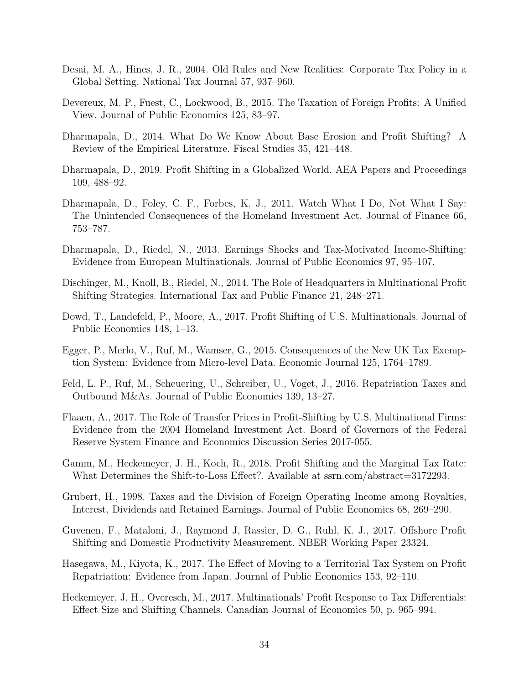- Desai, M. A., Hines, J. R., 2004. Old Rules and New Realities: Corporate Tax Policy in a Global Setting. National Tax Journal 57, 937–960.
- Devereux, M. P., Fuest, C., Lockwood, B., 2015. The Taxation of Foreign Profits: A Unified View. Journal of Public Economics 125, 83–97.
- Dharmapala, D., 2014. What Do We Know About Base Erosion and Profit Shifting? A Review of the Empirical Literature. Fiscal Studies 35, 421–448.
- Dharmapala, D., 2019. Profit Shifting in a Globalized World. AEA Papers and Proceedings 109, 488–92.
- Dharmapala, D., Foley, C. F., Forbes, K. J., 2011. Watch What I Do, Not What I Say: The Unintended Consequences of the Homeland Investment Act. Journal of Finance 66, 753–787.
- Dharmapala, D., Riedel, N., 2013. Earnings Shocks and Tax-Motivated Income-Shifting: Evidence from European Multinationals. Journal of Public Economics 97, 95–107.
- Dischinger, M., Knoll, B., Riedel, N., 2014. The Role of Headquarters in Multinational Profit Shifting Strategies. International Tax and Public Finance 21, 248–271.
- Dowd, T., Landefeld, P., Moore, A., 2017. Profit Shifting of U.S. Multinationals. Journal of Public Economics 148, 1–13.
- Egger, P., Merlo, V., Ruf, M., Wamser, G., 2015. Consequences of the New UK Tax Exemption System: Evidence from Micro-level Data. Economic Journal 125, 1764–1789.
- Feld, L. P., Ruf, M., Scheuering, U., Schreiber, U., Voget, J., 2016. Repatriation Taxes and Outbound M&As. Journal of Public Economics 139, 13–27.
- Flaaen, A., 2017. The Role of Transfer Prices in Profit-Shifting by U.S. Multinational Firms: Evidence from the 2004 Homeland Investment Act. Board of Governors of the Federal Reserve System Finance and Economics Discussion Series 2017-055.
- Gamm, M., Heckemeyer, J. H., Koch, R., 2018. Profit Shifting and the Marginal Tax Rate: What Determines the Shift-to-Loss Effect?. Available at ssrn.com/abstract=3172293.
- Grubert, H., 1998. Taxes and the Division of Foreign Operating Income among Royalties, Interest, Dividends and Retained Earnings. Journal of Public Economics 68, 269–290.
- Guvenen, F., Mataloni, J., Raymond J, Rassier, D. G., Ruhl, K. J., 2017. Offshore Profit Shifting and Domestic Productivity Measurement. NBER Working Paper 23324.
- Hasegawa, M., Kiyota, K., 2017. The Effect of Moving to a Territorial Tax System on Profit Repatriation: Evidence from Japan. Journal of Public Economics 153, 92–110.
- Heckemeyer, J. H., Overesch, M., 2017. Multinationals' Profit Response to Tax Differentials: Effect Size and Shifting Channels. Canadian Journal of Economics 50, p. 965–994.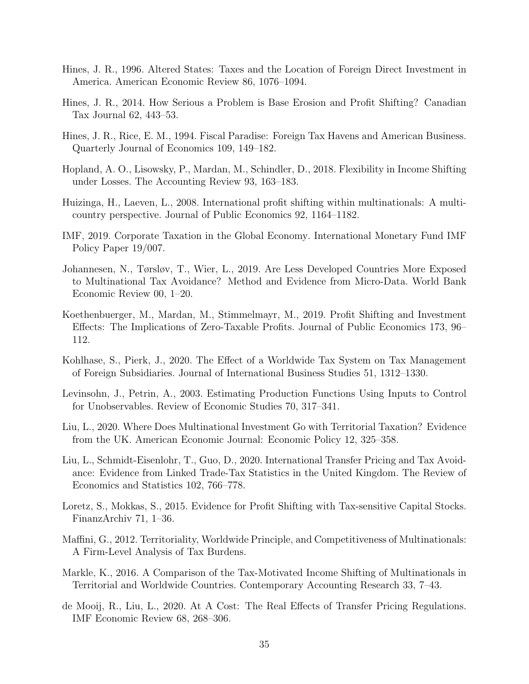- Hines, J. R., 1996. Altered States: Taxes and the Location of Foreign Direct Investment in America. American Economic Review 86, 1076–1094.
- Hines, J. R., 2014. How Serious a Problem is Base Erosion and Profit Shifting? Canadian Tax Journal 62, 443–53.
- Hines, J. R., Rice, E. M., 1994. Fiscal Paradise: Foreign Tax Havens and American Business. Quarterly Journal of Economics 109, 149–182.
- Hopland, A. O., Lisowsky, P., Mardan, M., Schindler, D., 2018. Flexibility in Income Shifting under Losses. The Accounting Review 93, 163–183.
- Huizinga, H., Laeven, L., 2008. International profit shifting within multinationals: A multicountry perspective. Journal of Public Economics 92, 1164–1182.
- IMF, 2019. Corporate Taxation in the Global Economy. International Monetary Fund IMF Policy Paper 19/007.
- Johannesen, N., Tørsløv, T., Wier, L., 2019. Are Less Developed Countries More Exposed to Multinational Tax Avoidance? Method and Evidence from Micro-Data. World Bank Economic Review 00, 1–20.
- Koethenbuerger, M., Mardan, M., Stimmelmayr, M., 2019. Profit Shifting and Investment Effects: The Implications of Zero-Taxable Profits. Journal of Public Economics 173, 96– 112.
- Kohlhase, S., Pierk, J., 2020. The Effect of a Worldwide Tax System on Tax Management of Foreign Subsidiaries. Journal of International Business Studies 51, 1312–1330.
- Levinsohn, J., Petrin, A., 2003. Estimating Production Functions Using Inputs to Control for Unobservables. Review of Economic Studies 70, 317–341.
- Liu, L., 2020. Where Does Multinational Investment Go with Territorial Taxation? Evidence from the UK. American Economic Journal: Economic Policy 12, 325–358.
- Liu, L., Schmidt-Eisenlohr, T., Guo, D., 2020. International Transfer Pricing and Tax Avoidance: Evidence from Linked Trade-Tax Statistics in the United Kingdom. The Review of Economics and Statistics 102, 766–778.
- Loretz, S., Mokkas, S., 2015. Evidence for Profit Shifting with Tax-sensitive Capital Stocks. FinanzArchiv 71, 1–36.
- Maffini, G., 2012. Territoriality, Worldwide Principle, and Competitiveness of Multinationals: A Firm-Level Analysis of Tax Burdens.
- Markle, K., 2016. A Comparison of the Tax-Motivated Income Shifting of Multinationals in Territorial and Worldwide Countries. Contemporary Accounting Research 33, 7–43.
- de Mooij, R., Liu, L., 2020. At A Cost: The Real Effects of Transfer Pricing Regulations. IMF Economic Review 68, 268–306.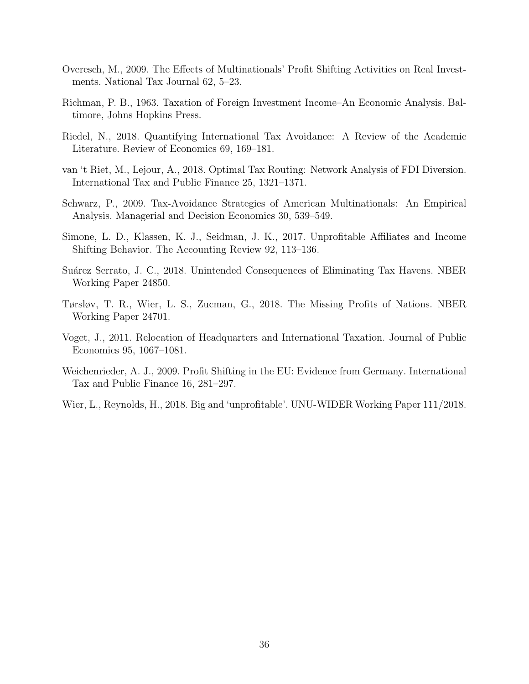- Overesch, M., 2009. The Effects of Multinationals' Profit Shifting Activities on Real Investments. National Tax Journal 62, 5–23.
- Richman, P. B., 1963. Taxation of Foreign Investment Income–An Economic Analysis. Baltimore, Johns Hopkins Press.
- Riedel, N., 2018. Quantifying International Tax Avoidance: A Review of the Academic Literature. Review of Economics 69, 169–181.
- van 't Riet, M., Lejour, A., 2018. Optimal Tax Routing: Network Analysis of FDI Diversion. International Tax and Public Finance 25, 1321–1371.
- Schwarz, P., 2009. Tax-Avoidance Strategies of American Multinationals: An Empirical Analysis. Managerial and Decision Economics 30, 539–549.
- Simone, L. D., Klassen, K. J., Seidman, J. K., 2017. Unprofitable Affiliates and Income Shifting Behavior. The Accounting Review 92, 113–136.
- Suárez Serrato, J. C., 2018. Unintended Consequences of Eliminating Tax Havens. NBER Working Paper 24850.
- Tørsløv, T. R., Wier, L. S., Zucman, G., 2018. The Missing Profits of Nations. NBER Working Paper 24701.
- Voget, J., 2011. Relocation of Headquarters and International Taxation. Journal of Public Economics 95, 1067–1081.
- Weichenrieder, A. J., 2009. Profit Shifting in the EU: Evidence from Germany. International Tax and Public Finance 16, 281–297.
- Wier, L., Reynolds, H., 2018. Big and 'unprofitable'. UNU-WIDER Working Paper 111/2018.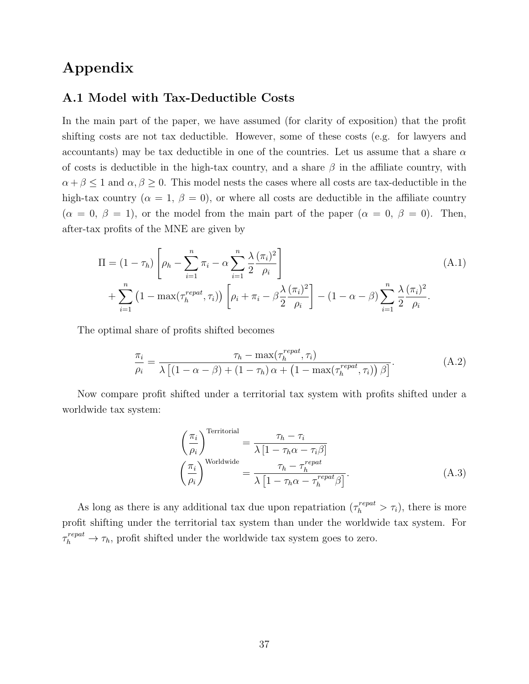## Appendix

#### A.1 Model with Tax-Deductible Costs

In the main part of the paper, we have assumed (for clarity of exposition) that the profit shifting costs are not tax deductible. However, some of these costs (e.g. for lawyers and accountants) may be tax deductible in one of the countries. Let us assume that a share  $\alpha$ of costs is deductible in the high-tax country, and a share  $\beta$  in the affiliate country, with  $\alpha + \beta \leq 1$  and  $\alpha, \beta \geq 0$ . This model nests the cases where all costs are tax-deductible in the high-tax country ( $\alpha = 1, \beta = 0$ ), or where all costs are deductible in the affiliate country  $(\alpha = 0, \beta = 1)$ , or the model from the main part of the paper  $(\alpha = 0, \beta = 0)$ . Then, after-tax profits of the MNE are given by

$$
\Pi = (1 - \tau_h) \left[ \rho_h - \sum_{i=1}^n \pi_i - \alpha \sum_{i=1}^n \frac{\lambda}{2} \frac{(\pi_i)^2}{\rho_i} \right]
$$
\n
$$
+ \sum_{i=1}^n \left( 1 - \max(\tau_h^{repeat}, \tau_i) \right) \left[ \rho_i + \pi_i - \beta \frac{\lambda}{2} \frac{(\pi_i)^2}{\rho_i} \right] - (1 - \alpha - \beta) \sum_{i=1}^n \frac{\lambda}{2} \frac{(\pi_i)^2}{\rho_i}.
$$
\n(A.1)

The optimal share of profits shifted becomes

$$
\frac{\pi_i}{\rho_i} = \frac{\tau_h - \max(\tau_h^{repat}, \tau_i)}{\lambda \left[ (1 - \alpha - \beta) + (1 - \tau_h) \alpha + (1 - \max(\tau_h^{repat}, \tau_i)) \beta \right]}.
$$
\n(A.2)

Now compare profit shifted under a territorial tax system with profits shifted under a worldwide tax system:

$$
\left(\frac{\pi_i}{\rho_i}\right)^{\text{Territorial}} = \frac{\tau_h - \tau_i}{\lambda \left[1 - \tau_h \alpha - \tau_i \beta\right]}
$$
\n
$$
\left(\frac{\pi_i}{\rho_i}\right)^{\text{Worldwide}} = \frac{\tau_h - \tau_h^{repat}}{\lambda \left[1 - \tau_h \alpha - \tau_h^{repat} \beta\right]}.
$$
\n(A.3)

As long as there is any additional tax due upon repatriation  $(\tau_h^{repat} > \tau_i)$ , there is more profit shifting under the territorial tax system than under the worldwide tax system. For  $\tau_h^{repat} \to \tau_h$ , profit shifted under the worldwide tax system goes to zero.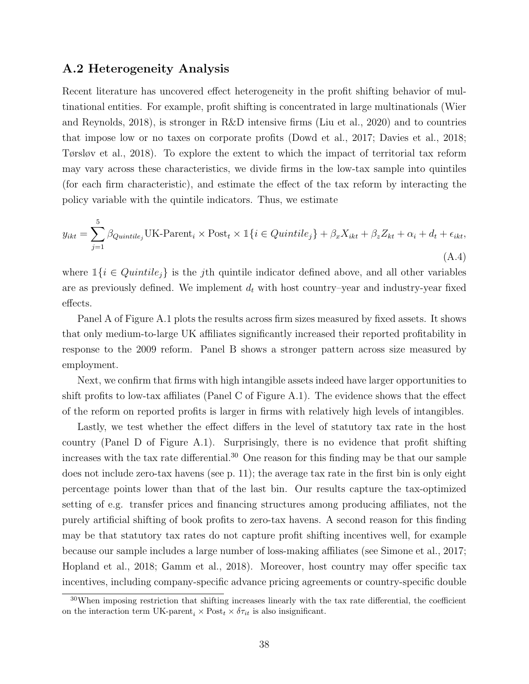#### A.2 Heterogeneity Analysis

Recent literature has uncovered effect heterogeneity in the profit shifting behavior of multinational entities. For example, profit shifting is concentrated in large multinationals (Wier and Reynolds, 2018), is stronger in R&D intensive firms (Liu et al., 2020) and to countries that impose low or no taxes on corporate profits (Dowd et al., 2017; Davies et al., 2018; Tørsløv et al., 2018). To explore the extent to which the impact of territorial tax reform may vary across these characteristics, we divide firms in the low-tax sample into quintiles (for each firm characteristic), and estimate the effect of the tax reform by interacting the policy variable with the quintile indicators. Thus, we estimate

$$
y_{ikt} = \sum_{j=1}^{5} \beta_{Quintile_j} UK\text{-Parent}_i \times \text{Post}_t \times \mathbb{1}\{i \in Quintile_j\} + \beta_x X_{ikt} + \beta_z Z_{kt} + \alpha_i + d_t + \epsilon_{ikt},
$$
\n(A.4)

where  $\mathbb{1}{i \in Quintile_i}$  is the j<sup>th</sup> quintile indicator defined above, and all other variables are as previously defined. We implement  $d_t$  with host country-year and industry-year fixed effects.

Panel A of Figure A.1 plots the results across firm sizes measured by fixed assets. It shows that only medium-to-large UK affiliates significantly increased their reported profitability in response to the 2009 reform. Panel B shows a stronger pattern across size measured by employment.

Next, we confirm that firms with high intangible assets indeed have larger opportunities to shift profits to low-tax affiliates (Panel C of Figure A.1). The evidence shows that the effect of the reform on reported profits is larger in firms with relatively high levels of intangibles.

Lastly, we test whether the effect differs in the level of statutory tax rate in the host country (Panel D of Figure A.1). Surprisingly, there is no evidence that profit shifting increases with the tax rate differential.<sup>30</sup> One reason for this finding may be that our sample does not include zero-tax havens (see p. 11); the average tax rate in the first bin is only eight percentage points lower than that of the last bin. Our results capture the tax-optimized setting of e.g. transfer prices and financing structures among producing affiliates, not the purely artificial shifting of book profits to zero-tax havens. A second reason for this finding may be that statutory tax rates do not capture profit shifting incentives well, for example because our sample includes a large number of loss-making affiliates (see Simone et al., 2017; Hopland et al., 2018; Gamm et al., 2018). Moreover, host country may offer specific tax incentives, including company-specific advance pricing agreements or country-specific double

<sup>30</sup>When imposing restriction that shifting increases linearly with the tax rate differential, the coefficient on the interaction term UK-parent<sub>i</sub>  $\times$  Post<sub>t</sub>  $\times$   $\delta\tau_{it}$  is also insignificant.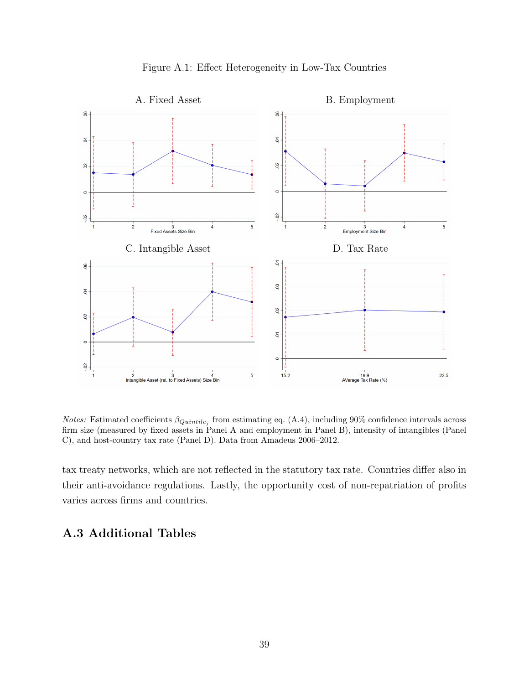

Figure A.1: Effect Heterogeneity in Low-Tax Countries

*Notes:* Estimated coefficients  $\beta_{Quintile_j}$  from estimating eq. (A.4), including 90% confidence intervals across firm size (measured by fixed assets in Panel A and employment in Panel B), intensity of intangibles (Panel C), and host-country tax rate (Panel D). Data from Amadeus 2006–2012.

tax treaty networks, which are not reflected in the statutory tax rate. Countries differ also in their anti-avoidance regulations. Lastly, the opportunity cost of non-repatriation of profits varies across firms and countries.

## A.3 Additional Tables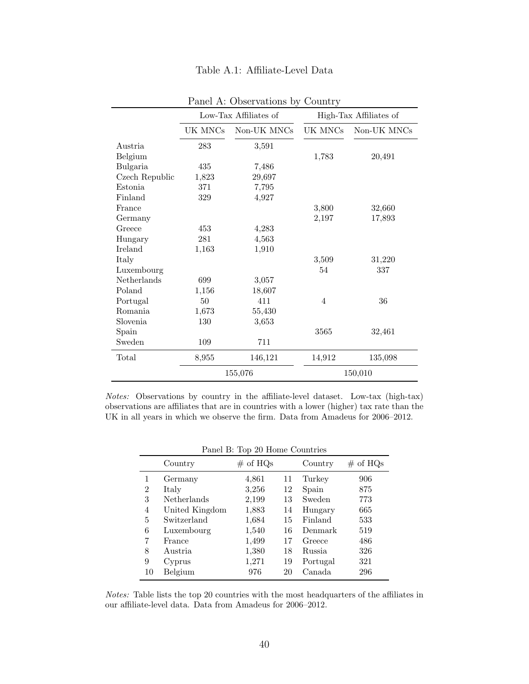|                |         | Low-Tax Affiliates of |         | High-Tax Affiliates of |
|----------------|---------|-----------------------|---------|------------------------|
|                | UK MNCs | Non-UK MNCs           | UK MNCs | Non-UK MNCs            |
| Austria        | 283     | 3,591                 |         |                        |
| Belgium        |         |                       | 1,783   | 20,491                 |
| Bulgaria       | 435     | 7,486                 |         |                        |
| Czech Republic | 1,823   | 29,697                |         |                        |
| Estonia        | 371     | 7,795                 |         |                        |
| Finland        | 329     | 4,927                 |         |                        |
| France         |         |                       | 3,800   | 32,660                 |
| Germany        |         |                       | 2,197   | 17,893                 |
| Greece         | 453     | 4,283                 |         |                        |
| Hungary        | 281     | 4,563                 |         |                        |
| Ireland        | 1,163   | 1,910                 |         |                        |
| Italy          |         |                       | 3,509   | 31,220                 |
| Luxembourg     |         |                       | 54      | 337                    |
| Netherlands    | 699     | 3,057                 |         |                        |
| Poland         | 1,156   | 18,607                |         |                        |
| Portugal       | $50\,$  | 411                   | 4       | 36                     |
| Romania        | 1,673   | 55,430                |         |                        |
| Slovenia       | 130     | 3,653                 |         |                        |
| Spain          |         |                       | 3565    | 32,461                 |
| Sweden         | 109     | 711                   |         |                        |
| Total          | 8,955   | 146,121               | 14,912  | 135,098                |
|                |         | 155,076               |         | 150,010                |

Table A.1: Affiliate-Level Data

Panel A: Observations by Country

Notes: Observations by country in the affiliate-level dataset. Low-tax (high-tax) observations are affiliates that are in countries with a lower (higher) tax rate than the UK in all years in which we observe the firm. Data from Amadeus for 2006–2012.

Panel B: Top 20 Home Countries

|                | Country        | $\#$ of HQs |    | Country       | $\#$ of HQs |
|----------------|----------------|-------------|----|---------------|-------------|
| 1              | Germany        | 4,861       | 11 | Turkey        | 906         |
| $\overline{2}$ | Italy          | 3,256       | 12 | Spain         | 875         |
| 3              | Netherlands    | 2,199       | 13 | Sweden        | 773         |
| $\overline{4}$ | United Kingdom | 1,883       | 14 | Hungary       | 665         |
| 5              | Switzerland    | 1,684       | 15 | Finland       | 533         |
| 6              | Luxembourg     | 1,540       | 16 | Denmark       | 519         |
| 7              | France         | 1,499       | 17 | Greece        | 486         |
| 8              | Austria.       | 1,380       | 18 | <b>Russia</b> | 326         |
| 9              | Cyprus         | 1,271       | 19 | Portugal      | 321         |
| 10             | Belgium        | 976         | 20 | Canada        | 296         |

Notes: Table lists the top 20 countries with the most headquarters of the affiliates in our affiliate-level data. Data from Amadeus for 2006–2012.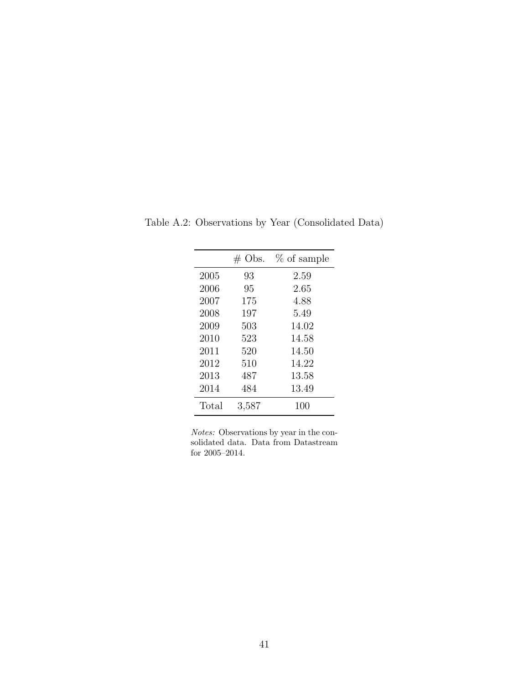|       | $\#$ Obs. | $%$ of sample |
|-------|-----------|---------------|
| 2005  | 93        | 2.59          |
| 2006  | 95        | 2.65          |
| 2007  | 175       | 4.88          |
| 2008  | 197       | 5.49          |
| 2009  | 503       | 14.02         |
| 2010  | 523       | 14.58         |
| 2011  | 520       | 14.50         |
| 2012  | 510       | 14.22         |
| 2013  | 487       | 13.58         |
| 2014  | 484       | 13.49         |
| Total | 3,587     | 100           |

Table A.2: Observations by Year (Consolidated Data)

Notes: Observations by year in the consolidated data. Data from Datastream for 2005–2014.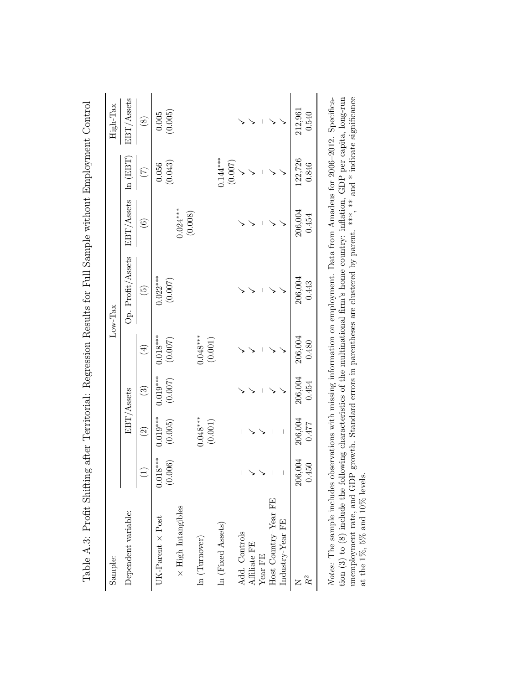| Sample:                   |                 |                          |                        |                       | Low-Tax           |               |                       | High-Tax    |
|---------------------------|-----------------|--------------------------|------------------------|-----------------------|-------------------|---------------|-----------------------|-------------|
| Dependent variable:       |                 |                          | EBT/Assets             |                       | Op. Profit/Assets | EBT/Assets    | $\ln$ (EBT)           | EBT/Assets  |
|                           | $\widehat{\Xi}$ | $\widehat{\mathfrak{O}}$ | $\widehat{\mathbb{C}}$ | $\bigoplus$           | $\widetilde{5}$   | $\widehat{6}$ | $\widetilde{C}$       | $\circledS$ |
| $JK-Parent \times Post$   | $0.018***$      | $0.019***$               | $0.019***$             | $0.018***$            | $0.022***$        |               | 0.056                 | 0.005       |
| $\times$ High Intangibles | (0.006)         | (0.005)                  | (0.007)                | (0.007)               | (0.007)           | $0.024***$    | (0.043)               | (0.005)     |
|                           |                 |                          |                        |                       |                   | (0.008)       |                       |             |
| ln (Turnover)             |                 | $0.048***$<br>(0.001)    |                        | $0.048***$<br>(0.001) |                   |               |                       |             |
| In (Fixed Assets)         |                 |                          |                        |                       |                   |               | $0.144***$<br>(0.007) |             |
| Add. Controls             |                 |                          |                        |                       |                   |               |                       |             |
| Affiliate FE              |                 |                          |                        |                       |                   |               |                       |             |
| Year FE                   |                 |                          |                        |                       |                   |               |                       |             |
| Host Country-Year FE      |                 |                          |                        |                       |                   |               |                       |             |
| Industry-Year FE          |                 |                          |                        |                       |                   |               |                       |             |
|                           | 206,004         | 206,004                  | 206,004                | 206,004               | 206,004           | 206,004       | 122,726               | 212,961     |
| $R^2$                     | 0.450           | 0.477                    | 0.454                  | 0.480                 | 0.443             | 0.454         | 0.846                 | 0.540       |

*Notes*: The sample includes observations with missing information on employment. Data from Amadeus for 2006–2012. Specification (3) to (8) include the following characteristics of the multinational firm's home country: i Notes: The sample includes observations with missing information on employment. Data from Amadeus for 2006–2012. Specification (3) to (8) include the following characteristics of the multinational firm's home country: inflation, GDP per capita, long-run unemployment rate, and GDP growth. Standard errors in parentheses are clustered by parent. \*\*\*, \*\* and \* indicate significance at the 1%, 5% and 10% levels.

Table A.3: Profit Shifting after Territorial: Regression Results for Full Sample without Employment Control  $\frac{1}{4}$  $\tilde{C}$ ł,  $\frac{1}{2}$  $\frac{1}{1}$ ł,  $E \cdot H \cdot G$ ک<br>4  $\pm$  $\overline{a}$ .  $\overline{a}$  $\frac{1}{2}$  $\frac{1}{2}$  $E$  $\frac{1}{4}$  $f + \zeta h$  $\Delta$  $\lambda$   $\Omega$ .  $T_{\alpha}$ kla